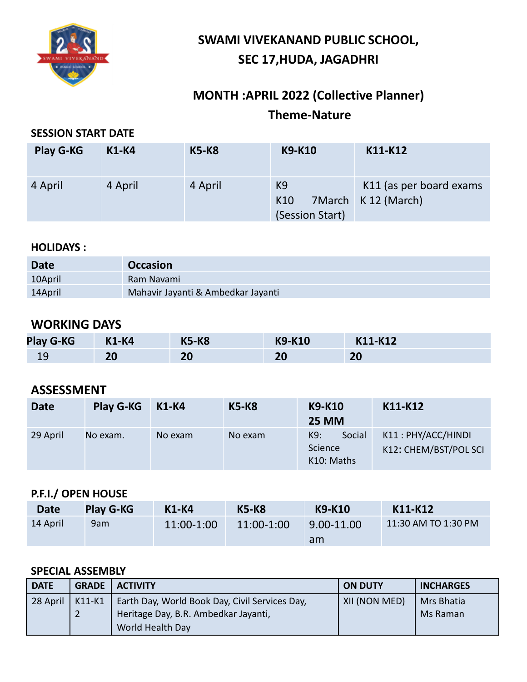

# **SWAMI VIVEKANAND PUBLIC SCHOOL, SEC 17,HUDA, JAGADHRI**

# **MONTH :APRIL 2022 (Collective Planner) Theme-Nature**

#### **SESSION START DATE**

| <b>Play G-KG</b> | <b>K1-K4</b> | <b>K5-K8</b> | <b>K9-K10</b>                            | K11-K12                                        |
|------------------|--------------|--------------|------------------------------------------|------------------------------------------------|
| 4 April          | 4 April      | 4 April      | K <sub>9</sub><br>K10<br>(Session Start) | K11 (as per board exams<br>7March K 12 (March) |

#### **HOLIDAYS :**

| <b>Date</b> | <b>Occasion</b>                    |
|-------------|------------------------------------|
| 10April     | Ram Navami                         |
| 14April     | Mahavir Jayanti & Ambedkar Jayanti |

## **WORKING DAYS**

| <b>Play G-KG</b> | <b>K1-K4</b> | <b>K5-K8</b> | <b>K9-K10</b> | K11-K12 |
|------------------|--------------|--------------|---------------|---------|
| ΤS               | 20           | 20           | 20            | 20      |

## **ASSESSMENT**

| <b>Date</b> | <b>Play G-KG</b> | K1-K4   | <b>K5-K8</b> | <b>K9-K10</b><br><b>25 MM</b>          | K11-K12                                     |
|-------------|------------------|---------|--------------|----------------------------------------|---------------------------------------------|
| 29 April    | No exam.         | No exam | No exam      | K9:<br>Social<br>Science<br>K10: Maths | K11: PHY/ACC/HINDI<br>K12: CHEM/BST/POL SCI |

## **P.F.I./ OPEN HOUSE**

| <b>Date</b> | <b>Play G-KG</b> | $K1-K4$    | <b>K5-K8</b> | K9-K10     | K11-K12             |
|-------------|------------------|------------|--------------|------------|---------------------|
| 14 April    | 9am              | 11:00-1:00 | 11:00-1:00   | 9.00-11.00 | 11:30 AM TO 1:30 PM |
|             |                  |            |              | am         |                     |

#### **SPECIAL ASSEMBLY**

| <b>DATE</b> | <b>GRADE</b> | <b>ACTIVITY</b>                                                                                            | <b>ON DUTY</b> | <b>INCHARGES</b>       |
|-------------|--------------|------------------------------------------------------------------------------------------------------------|----------------|------------------------|
| 28 April    | K11-K1       | Earth Day, World Book Day, Civil Services Day,<br>Heritage Day, B.R. Ambedkar Jayanti,<br>World Health Day | XII (NON MED)  | Mrs Bhatia<br>Ms Raman |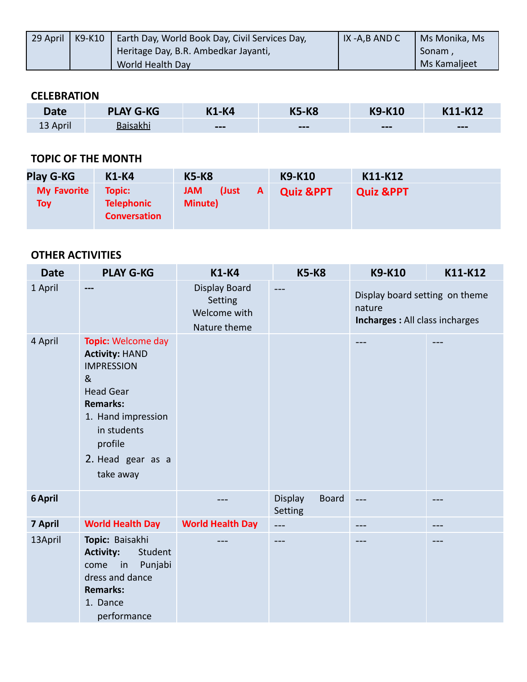| 29 April | K9-K10   Earth Day, World Book Day, Civil Services Day, | IX-A,B AND C | Ms Monika, Ms |
|----------|---------------------------------------------------------|--------------|---------------|
|          | Heritage Day, B.R. Ambedkar Jayanti,                    |              | Sonam.        |
|          | World Health Day                                        |              | Ms Kamaljeet  |

#### **CELEBRATION**

| Date     | <b>PLAY G-KG</b> | <b>K1-K4</b>           | <b>K5-K8</b> | <b>K9-K10</b>          | K11-K12                |
|----------|------------------|------------------------|--------------|------------------------|------------------------|
| 13 April | <b>Baisakhi</b>  | $\qquad \qquad \cdots$ | $-- -$       | $\qquad \qquad \cdots$ | $\qquad \qquad \cdots$ |

### **TOPIC OF THE MONTH**

| <b>Play G-KG</b>          | <b>K1-K4</b>                                       | <b>K5-K8</b>                                          | K9-K10               | K11-K12              |
|---------------------------|----------------------------------------------------|-------------------------------------------------------|----------------------|----------------------|
| <b>My Favorite</b><br>Toy | Topic:<br><b>Telephonic</b><br><b>Conversation</b> | <b>JAM</b><br>(Just<br>$\mathsf{A}$<br><b>Minute)</b> | <b>Quiz &amp;PPT</b> | <b>Quiz &amp;PPT</b> |

| <b>Date</b> | <b>PLAY G-KG</b>                                                                                                                                                                                                   | <b>K1-K4</b>                                             | <b>K5-K8</b>                              | <b>K9-K10</b>                                                               | K11-K12 |
|-------------|--------------------------------------------------------------------------------------------------------------------------------------------------------------------------------------------------------------------|----------------------------------------------------------|-------------------------------------------|-----------------------------------------------------------------------------|---------|
| 1 April     | ---                                                                                                                                                                                                                | Display Board<br>Setting<br>Welcome with<br>Nature theme | ---                                       | Display board setting on theme<br>nature<br>Incharges : All class incharges |         |
| 4 April     | <b>Topic: Welcome day</b><br><b>Activity: HAND</b><br><b>IMPRESSION</b><br>8 <sub>k</sub><br><b>Head Gear</b><br><b>Remarks:</b><br>1. Hand impression<br>in students<br>profile<br>2. Head gear as a<br>take away |                                                          |                                           |                                                                             |         |
| 6 April     |                                                                                                                                                                                                                    |                                                          | <b>Board</b><br><b>Display</b><br>Setting | ---                                                                         |         |
| 7 April     | <b>World Health Day</b>                                                                                                                                                                                            | <b>World Health Day</b>                                  | $---$                                     | $---$                                                                       | $---$   |
| 13April     | Topic: Baisakhi<br><b>Activity:</b><br>Student<br>Punjabi<br>in<br>come<br>dress and dance<br><b>Remarks:</b><br>1. Dance<br>performance                                                                           |                                                          | ---                                       |                                                                             |         |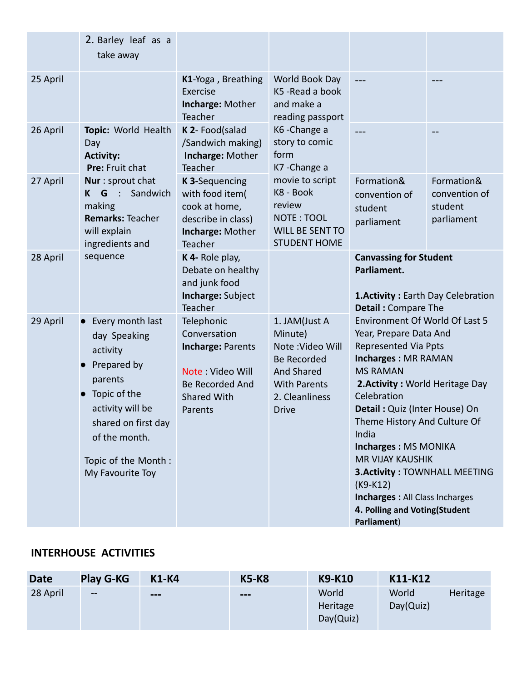|          | 2. Barley leaf as a<br>take away                                                                                                                                                                             |                                                                                                                                       |                                                                                                                                                  |                                                                                                                                                                                                                                                                                                                                                                                                                                                                        |                                                      |  |
|----------|--------------------------------------------------------------------------------------------------------------------------------------------------------------------------------------------------------------|---------------------------------------------------------------------------------------------------------------------------------------|--------------------------------------------------------------------------------------------------------------------------------------------------|------------------------------------------------------------------------------------------------------------------------------------------------------------------------------------------------------------------------------------------------------------------------------------------------------------------------------------------------------------------------------------------------------------------------------------------------------------------------|------------------------------------------------------|--|
| 25 April |                                                                                                                                                                                                              | K1-Yoga, Breathing<br>Exercise<br>Incharge: Mother<br>Teacher                                                                         | World Book Day<br>K5 - Read a book<br>and make a<br>reading passport                                                                             | ---                                                                                                                                                                                                                                                                                                                                                                                                                                                                    |                                                      |  |
| 26 April | Topic: World Health<br>Day<br><b>Activity:</b><br>Pre: Fruit chat                                                                                                                                            | K 2- Food(salad<br>/Sandwich making)<br>Incharge: Mother<br>Teacher                                                                   | K6-Change a<br>story to comic<br>form<br>K7-Change a                                                                                             |                                                                                                                                                                                                                                                                                                                                                                                                                                                                        |                                                      |  |
| 27 April | Nur : sprout chat<br>G<br>Sandwich<br>$\bullet$<br>K<br>making<br><b>Remarks: Teacher</b><br>will explain<br>ingredients and                                                                                 | K 3-Sequencing<br>with food item(<br>cook at home,<br>describe in class)<br>Incharge: Mother<br>Teacher                               | movie to script<br>K8 - Book<br>review<br>NOTE: TOOL<br><b>WILL BE SENT TO</b><br><b>STUDENT HOME</b>                                            | Formation&<br>convention of<br>student<br>parliament                                                                                                                                                                                                                                                                                                                                                                                                                   | Formation&<br>convention of<br>student<br>parliament |  |
| 28 April | sequence                                                                                                                                                                                                     | K 4- Role play,<br>Debate on healthy<br>and junk food<br>Incharge: Subject<br>Teacher                                                 |                                                                                                                                                  | <b>Canvassing for Student</b><br>Parliament.<br><b>1. Activity: Earth Day Celebration</b><br><b>Detail: Compare The</b>                                                                                                                                                                                                                                                                                                                                                |                                                      |  |
| 29 April | • Every month last<br>day Speaking<br>activity<br>Prepared by<br>parents<br>Topic of the<br>$\bullet$<br>activity will be<br>shared on first day<br>of the month.<br>Topic of the Month:<br>My Favourite Toy | Telephonic<br>Conversation<br><b>Incharge: Parents</b><br>Note: Video Will<br><b>Be Recorded And</b><br><b>Shared With</b><br>Parents | 1. JAM(Just A<br>Minute)<br>Note: Video Will<br><b>Be Recorded</b><br><b>And Shared</b><br><b>With Parents</b><br>2. Cleanliness<br><b>Drive</b> | Environment Of World Of Last 5<br>Year, Prepare Data And<br><b>Represented Via Ppts</b><br><b>Incharges: MR RAMAN</b><br><b>MS RAMAN</b><br>2. Activity: World Heritage Day<br>Celebration<br>Detail: Quiz (Inter House) On<br>Theme History And Culture Of<br>India<br>Incharges: MS MONIKA<br><b>MR VIJAY KAUSHIK</b><br><b>3. Activity: TOWNHALL MEETING</b><br>$(K9-K12)$<br><b>Incharges: All Class Incharges</b><br>4. Polling and Voting(Student<br>Parliament) |                                                      |  |

## **INTERHOUSE ACTIVITIES**

| <b>Date</b> | <b>Play G-KG</b> | <b>K1-K4</b>             | <b>K5-K8</b> | <b>K9-K10</b>                  | K11-K12            |          |
|-------------|------------------|--------------------------|--------------|--------------------------------|--------------------|----------|
| 28 April    | $\sim$ $\sim$    | $\qquad \qquad \qquad -$ | $---$        | World<br>Heritage<br>Day(Quiz) | World<br>Day(Quiz) | Heritage |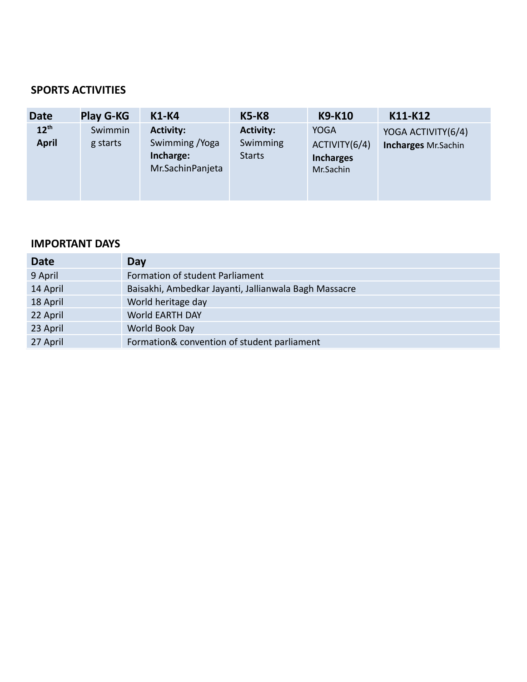#### **SPORTS ACTIVITIES**

| <b>Date</b>               | <b>Play G-KG</b>    | <b>K1-K4</b>                                                         | <b>K5-K8</b>                                  | <b>K9-K10</b>                                                 | K11-K12                                          |
|---------------------------|---------------------|----------------------------------------------------------------------|-----------------------------------------------|---------------------------------------------------------------|--------------------------------------------------|
| $12^{th}$<br><b>April</b> | Swimmin<br>g starts | <b>Activity:</b><br>Swimming / Yoga<br>Incharge:<br>Mr.SachinPanjeta | <b>Activity:</b><br>Swimming<br><b>Starts</b> | <b>YOGA</b><br>ACTIVITY(6/4)<br><b>Incharges</b><br>Mr.Sachin | YOGA ACTIVITY(6/4)<br><b>Incharges Mr.Sachin</b> |

| <b>Date</b> | Day                                                   |
|-------------|-------------------------------------------------------|
| 9 April     | Formation of student Parliament                       |
| 14 April    | Baisakhi, Ambedkar Jayanti, Jallianwala Bagh Massacre |
| 18 April    | World heritage day                                    |
| 22 April    | <b>World EARTH DAY</b>                                |
| 23 April    | World Book Day                                        |
| 27 April    | Formation& convention of student parliament           |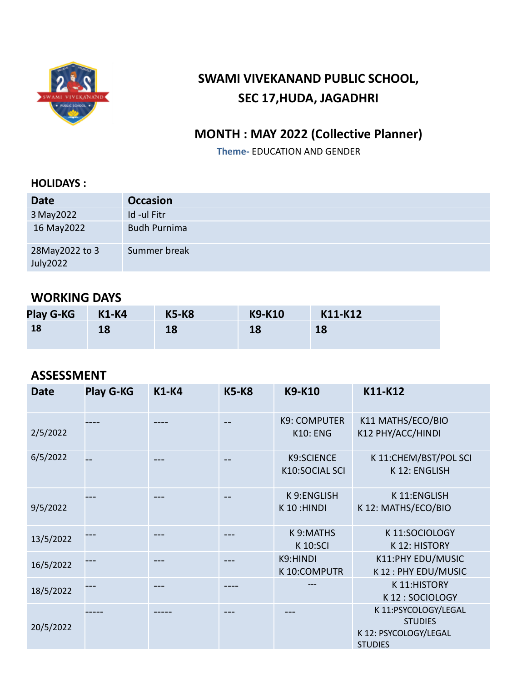

# **SWAMI VIVEKANAND PUBLIC SCHOOL, SEC 17,HUDA, JAGADHRI**

## **MONTH : MAY 2022 (Collective Planner)**

**Theme-** EDUCATION AND GENDER

#### **HOLIDAYS :**

| <b>Date</b>                | <b>Occasion</b>     |
|----------------------------|---------------------|
| 3 May 2022                 | Id -ul Fitr         |
| 16 May 2022                | <b>Budh Purnima</b> |
| 28May2022 to 3<br>July2022 | Summer break        |

## **WORKING DAYS**

| <b>Play G-KG</b> | <b>K1-K4</b> | <b>K5-K8</b> | <b>K9-K10</b> | K11-K12 |
|------------------|--------------|--------------|---------------|---------|
| 18               | 18           | 18           | 18            | 18      |

## **ASSESSMENT**

| <b>Date</b> | <b>Play G-KG</b> | <b>K1-K4</b> | <b>K5-K8</b> | <b>K9-K10</b>                          | K11-K12                                                                           |
|-------------|------------------|--------------|--------------|----------------------------------------|-----------------------------------------------------------------------------------|
| 2/5/2022    |                  |              | --           | <b>K9: COMPUTER</b><br><b>K10: ENG</b> | K11 MATHS/ECO/BIO<br>K12 PHY/ACC/HINDI                                            |
| 6/5/2022    |                  |              | --           | <b>K9:SCIENCE</b><br>K10:SOCIAL SCI    | K 11:CHEM/BST/POL SCI<br>K 12: ENGLISH                                            |
| 9/5/2022    |                  |              | --           | K 9:ENGLISH<br>K 10:HINDI              | K 11:ENGLISH<br>K 12: MATHS/ECO/BIO                                               |
| 13/5/2022   |                  |              |              | K 9:MATHS<br><b>K10:SCI</b>            | K 11:SOCIOLOGY<br>K 12: HISTORY                                                   |
| 16/5/2022   |                  |              |              | K9:HINDI<br>K 10:COMPUTR               | K11:PHY EDU/MUSIC<br>K12: PHY EDU/MUSIC                                           |
| 18/5/2022   |                  |              |              |                                        | K 11:HISTORY<br>K12: SOCIOLOGY                                                    |
| 20/5/2022   |                  |              |              |                                        | K 11:PSYCOLOGY/LEGAL<br><b>STUDIES</b><br>K 12: PSYCOLOGY/LEGAL<br><b>STUDIES</b> |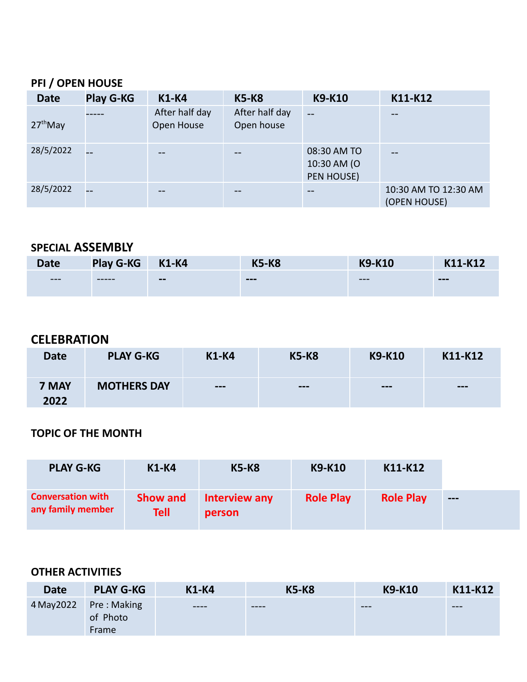## **PFI / OPEN HOUSE**

| <b>Date</b> | <b>Play G-KG</b> | <b>K1-K4</b>                 | <b>K5-K8</b>                 | <b>K9-K10</b>                            | K11-K12                              |
|-------------|------------------|------------------------------|------------------------------|------------------------------------------|--------------------------------------|
| $27th$ May  |                  | After half day<br>Open House | After half day<br>Open house | $-$                                      | --                                   |
| 28/5/2022   |                  |                              |                              | 08:30 AM TO<br>10:30 AM (O<br>PEN HOUSE) | --                                   |
| 28/5/2022   |                  |                              |                              |                                          | 10:30 AM TO 12:30 AM<br>(OPEN HOUSE) |

## **SPECIAL ASSEMBLY**

| <b>Date</b> | <b>Play G-KG</b> | <b>K1-K4</b> | <b>K5-K8</b> | <b>Y9-K10</b> | $1-K12$ |
|-------------|------------------|--------------|--------------|---------------|---------|
| $---$       | -----            | $- -$        | $- - -$      | $---$         | $- - -$ |

## **CELEBRATION**

| <b>Date</b>   | <b>PLAY G-KG</b>   | <b>K1-K4</b>             | <b>K5-K8</b> | <b>K9-K10</b> | K11-K12 |
|---------------|--------------------|--------------------------|--------------|---------------|---------|
| 7 MAY<br>2022 | <b>MOTHERS DAY</b> | $\qquad \qquad \qquad -$ | $---$        | $---$         | $---$   |

## **TOPIC OF THE MONTH**

| <b>PLAY G-KG</b>                              | <b>K1-K4</b>                   | <b>K5-K8</b>            | <b>K9-K10</b>    | K11-K12          |       |
|-----------------------------------------------|--------------------------------|-------------------------|------------------|------------------|-------|
| <b>Conversation with</b><br>any family member | <b>Show and</b><br><b>Tell</b> | Interview any<br>person | <b>Role Play</b> | <b>Role Play</b> | $---$ |

| <b>Date</b> | <b>PLAY G-KG</b>                 | <b>K1-K4</b> | <b>K5-K8</b> | K9-K10 | K11-K12 |
|-------------|----------------------------------|--------------|--------------|--------|---------|
| 4 May 2022  | Pre: Making<br>of Photo<br>Frame | ----         | $--- -$      | $-- -$ | $-- -$  |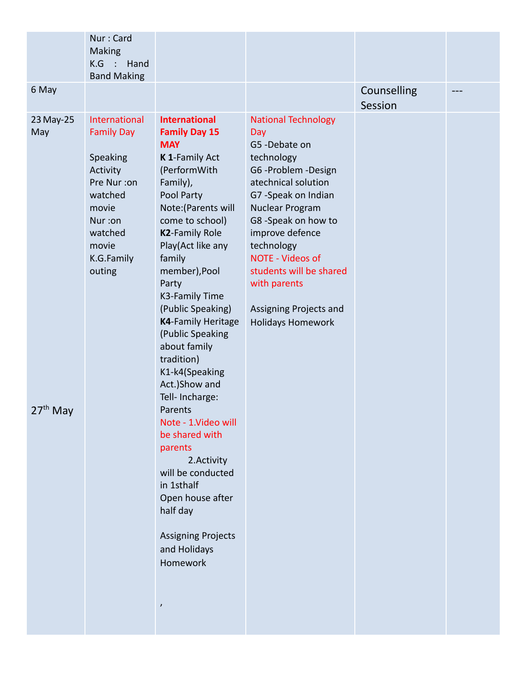| 6 May<br>Counselling<br>Session<br>International<br><b>International</b><br>23 May-25<br><b>National Technology</b><br><b>Family Day</b><br>May<br><b>Family Day 15</b><br>Day<br>G5-Debate on<br><b>MAY</b><br>Speaking<br>K 1-Family Act<br>technology<br>(PerformWith<br>G6-Problem-Design<br>Activity<br>Family),<br>atechnical solution<br>Pre Nur :on<br>watched<br>Pool Party<br>G7-Speak on Indian<br>Note: (Parents will<br>Nuclear Program<br>movie                                                                                                                                                                                                                                                                                                | Nur: Card<br><b>Making</b><br>$K.G$ :<br>Hand<br><b>Band Making</b> |  |  |
|--------------------------------------------------------------------------------------------------------------------------------------------------------------------------------------------------------------------------------------------------------------------------------------------------------------------------------------------------------------------------------------------------------------------------------------------------------------------------------------------------------------------------------------------------------------------------------------------------------------------------------------------------------------------------------------------------------------------------------------------------------------|---------------------------------------------------------------------|--|--|
|                                                                                                                                                                                                                                                                                                                                                                                                                                                                                                                                                                                                                                                                                                                                                              |                                                                     |  |  |
| come to school)<br>G8 -Speak on how to<br>Nur:on<br><b>K2-Family Role</b><br>improve defence<br>watched<br>Play(Act like any<br>technology<br>movie<br><b>NOTE - Videos of</b><br>K.G.Family<br>family<br>member), Pool<br>students will be shared<br>outing<br>with parents<br>Party<br>K3-Family Time<br>(Public Speaking)<br>Assigning Projects and<br><b>K4-Family Heritage</b><br><b>Holidays Homework</b><br>(Public Speaking<br>about family<br>tradition)<br>K1-k4(Speaking<br>Act.)Show and<br>Tell- Incharge:<br>$27th$ May<br>Parents<br>Note - 1. Video will<br>be shared with<br>parents<br>2. Activity<br>will be conducted<br>in 1sthalf<br>Open house after<br>half day<br><b>Assigning Projects</b><br>and Holidays<br>Homework<br>$\prime$ |                                                                     |  |  |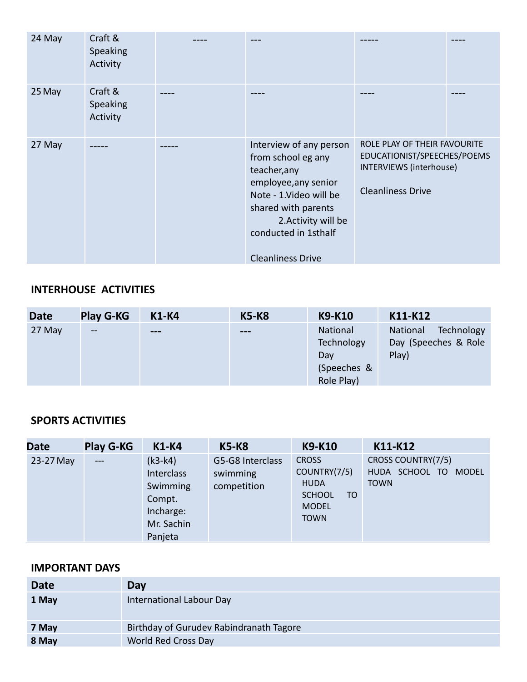| 24 May | Craft &<br>Speaking<br>Activity |                                                                                                                                                                                                                    |                                                                                                                    |  |
|--------|---------------------------------|--------------------------------------------------------------------------------------------------------------------------------------------------------------------------------------------------------------------|--------------------------------------------------------------------------------------------------------------------|--|
| 25 May | Craft &<br>Speaking<br>Activity |                                                                                                                                                                                                                    |                                                                                                                    |  |
| 27 May |                                 | Interview of any person<br>from school eg any<br>teacher, any<br>employee, any senior<br>Note - 1. Video will be<br>shared with parents<br>2. Activity will be<br>conducted in 1sthalf<br><b>Cleanliness Drive</b> | ROLE PLAY OF THEIR FAVOURITE<br>EDUCATIONIST/SPEECHES/POEMS<br>INTERVIEWS (interhouse)<br><b>Cleanliness Drive</b> |  |

## **INTERHOUSE ACTIVITIES**

| <b>Date</b> | <b>Play G-KG</b>         | <b>K1-K4</b>             | <b>K5-K8</b> | <b>K9-K10</b> | K11-K12                |
|-------------|--------------------------|--------------------------|--------------|---------------|------------------------|
| 27 May      | $\overline{\phantom{m}}$ | $\qquad \qquad \qquad -$ | $---$        | National      | Technology<br>National |
|             |                          |                          |              | Technology    | Day (Speeches & Role)  |
|             |                          |                          |              | Day           | Play)                  |
|             |                          |                          |              | (Speeches &   |                        |
|             |                          |                          |              | Role Play)    |                        |

## **SPORTS ACTIVITIES**

| <b>Date</b> | <b>Play G-KG</b> | <b>K1-K4</b>                                                                        | <b>K5-K8</b>                                | <b>K9-K10</b>                                                                                     | K11-K12                                                             |
|-------------|------------------|-------------------------------------------------------------------------------------|---------------------------------------------|---------------------------------------------------------------------------------------------------|---------------------------------------------------------------------|
| 23-27 May   | $---$            | $(k3-k4)$<br>Interclass<br>Swimming<br>Compt.<br>Incharge:<br>Mr. Sachin<br>Panjeta | G5-G8 Interclass<br>swimming<br>competition | <b>CROSS</b><br>COUNTRY(7/5)<br><b>HUDA</b><br><b>SCHOOL</b><br>TO<br><b>MODEL</b><br><b>TOWN</b> | CROSS COUNTRY(7/5)<br>HUDA SCHOOL TO<br><b>MODEL</b><br><b>TOWN</b> |

| <b>Date</b> | Day                                     |
|-------------|-----------------------------------------|
| 1 May       | International Labour Day                |
| 7 May       | Birthday of Gurudev Rabindranath Tagore |
| 8 May       | World Red Cross Day                     |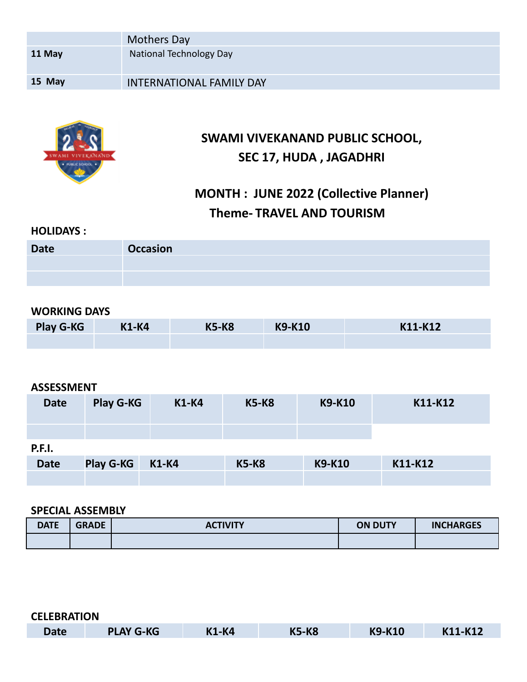|        | Mothers Day                     |
|--------|---------------------------------|
| 11 May | National Technology Day         |
| 15 May | <b>INTERNATIONAL FAMILY DAY</b> |
|        |                                 |



## **SWAMI VIVEKANAND PUBLIC SCHOOL, SEC 17, HUDA , JAGADHRI**

# **MONTH : JUNE 2022 (Collective Planner) Theme- TRAVEL AND TOURISM**

#### **HOLIDAYS :**

| <b>Date</b> | <b>Occasion</b> |
|-------------|-----------------|
|             |                 |
|             |                 |

#### **WORKING DAYS**

| <b>Play G-KG</b> | <b>K1-K4</b> | <b>K5-K8</b> | <b>K9-K10</b> | K11-K12 |
|------------------|--------------|--------------|---------------|---------|
|                  |              |              |               |         |

#### **ASSESSMENT**

| <b>Date</b>   | <b>Play G-KG</b> | <b>K1-K4</b> | <b>K5-K8</b> | <b>K9-K10</b> | K11-K12 |
|---------------|------------------|--------------|--------------|---------------|---------|
| <b>P.F.I.</b> |                  |              |              |               |         |
| <b>Date</b>   | <b>Play G-KG</b> | <b>K1-K4</b> | <b>K5-K8</b> | <b>K9-K10</b> | K11-K12 |

#### **SPECIAL ASSEMBLY**

| <b>DATE</b> | <b>GRADE</b> | <b>ACTIVITY</b> | <b>ON DUTY</b> | <b>INCHARGES</b> |
|-------------|--------------|-----------------|----------------|------------------|
|             |              |                 |                |                  |

| <b>CELEBRATION</b> |                  |              |              |               |         |
|--------------------|------------------|--------------|--------------|---------------|---------|
| <b>Date</b>        | <b>PLAY G-KG</b> | <b>K1-K4</b> | <b>K5-K8</b> | <b>K9-K10</b> | K11-K12 |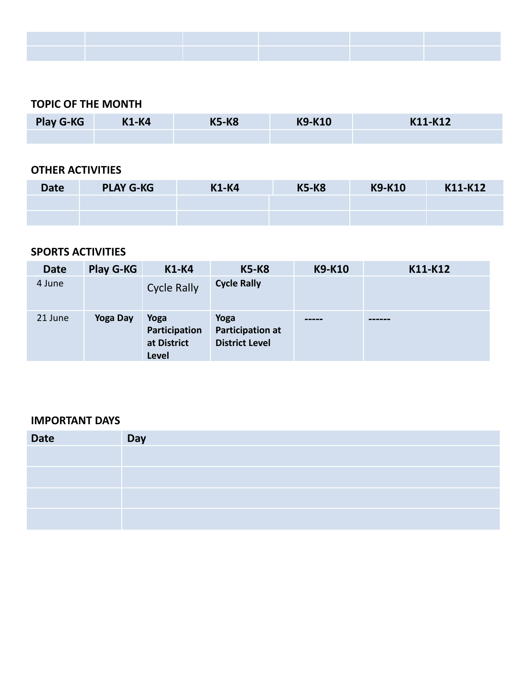#### **TOPIC OF THE MONTH**

| <b>Play G-KG</b> | <b>K1-K4</b> | <b>K5-K8</b> | <b>K9-K10</b> | K11-K12 |
|------------------|--------------|--------------|---------------|---------|
|                  |              |              |               |         |

#### **OTHER ACTIVITIES**

| <b>Date</b> | <b>PLAY G-KG</b> | <b>K1-K4</b> | <b>K5-K8</b> | <b>K9-K10</b> | K11-K12 |
|-------------|------------------|--------------|--------------|---------------|---------|
|             |                  |              |              |               |         |
|             |                  |              |              |               |         |

#### **SPORTS ACTIVITIES**

| <b>Date</b> | Play G-KG       | <b>K1-K4</b>                                  | <b>K5-K8</b>                                      | K9-K10 | K11-K12 |
|-------------|-----------------|-----------------------------------------------|---------------------------------------------------|--------|---------|
| 4 June      |                 | <b>Cycle Rally</b>                            | <b>Cycle Rally</b>                                |        |         |
| 21 June     | <b>Yoga Day</b> | Yoga<br>Participation<br>at District<br>Level | Yoga<br>Participation at<br><b>District Level</b> | -----  |         |

| <b>Date</b> | Day |
|-------------|-----|
|             |     |
|             |     |
|             |     |
|             |     |
|             |     |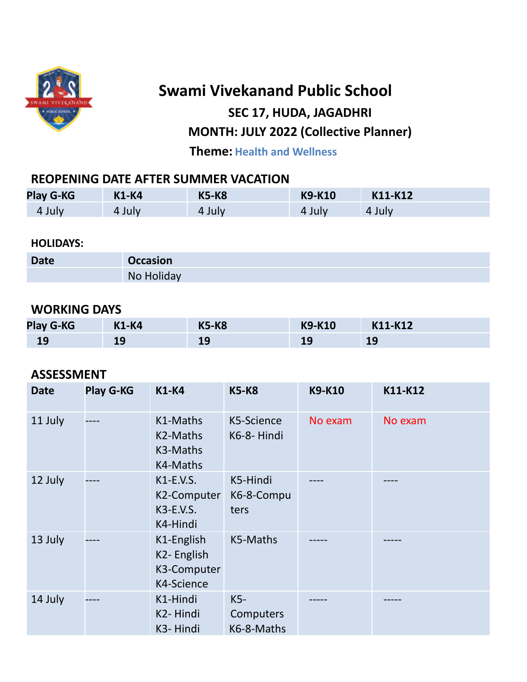

# **Swami Vivekanand Public School SEC 17, HUDA, JAGADHRI MONTH: JULY 2022 (Collective Planner)**

**Theme: Health and Wellness**

## **REOPENING DATE AFTER SUMMER VACATION**

| <b>Play G-KG</b> | <b>K1-K4</b> | <b>K5-K8</b> | <b>K9-K10</b> | K11-K12 |
|------------------|--------------|--------------|---------------|---------|
| 4 July           | 4 July       | 4 July       | 4 July        | 4 July  |

**HOLIDAYS:**

| <b>Date</b> | <b>Occasion</b> |
|-------------|-----------------|
|             | No Holiday      |

## **WORKING DAYS**

| <b>Play G-KG</b> | <b>K1-K4</b> | <b>K5-K8</b>     | <b>K9-K10</b> | K11-K12 |
|------------------|--------------|------------------|---------------|---------|
| <b>19</b>        | 19           | <b>10</b><br>- 2 | $-$           | ᅩJ      |

### **ASSESSMENT**

| <b>Date</b> | <b>Play G-KG</b> | <b>K1-K4</b>                                          | <b>K5-K8</b>                   | <b>K9-K10</b> | K11-K12 |
|-------------|------------------|-------------------------------------------------------|--------------------------------|---------------|---------|
| 11 July     |                  | K1-Maths<br>K2-Maths<br>K3-Maths<br>K4-Maths          | K5-Science<br>K6-8-Hindi       | No exam       | No exam |
| 12 July     |                  | K1-E.V.S.<br>K2-Computer<br>K3-E.V.S.<br>K4-Hindi     | K5-Hindi<br>K6-8-Compu<br>ters |               |         |
| 13 July     |                  | K1-English<br>K2-English<br>K3-Computer<br>K4-Science | K5-Maths                       |               |         |
| 14 July     |                  | K1-Hindi<br>K2-Hindi<br>K3-Hindi                      | K5-<br>Computers<br>K6-8-Maths |               |         |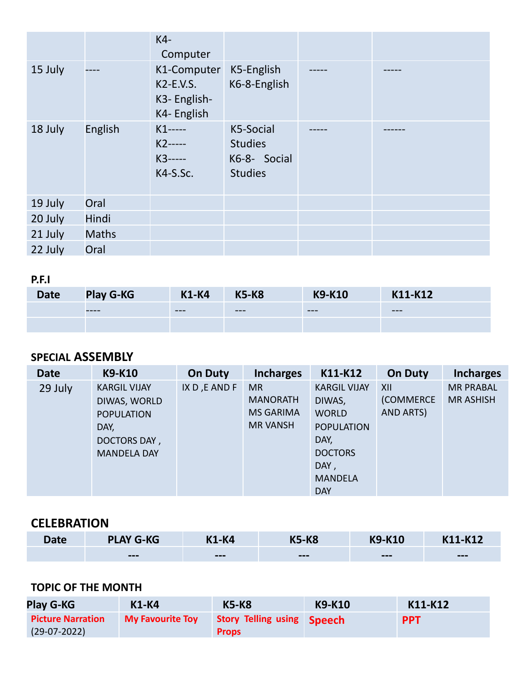|         |              | K4-<br>Computer                                           |                                                               |  |
|---------|--------------|-----------------------------------------------------------|---------------------------------------------------------------|--|
| 15 July |              | K1-Computer<br>$K2-E.V.S.$<br>K3- English-<br>K4- English | K5-English<br>K6-8-English                                    |  |
| 18 July | English      | $K1$ -----<br>$K2$ -----<br>$K3$ -----<br>K4-S.Sc.        | K5-Social<br><b>Studies</b><br>K6-8- Social<br><b>Studies</b> |  |
| 19 July | Oral         |                                                           |                                                               |  |
| 20 July | Hindi        |                                                           |                                                               |  |
| 21 July | <b>Maths</b> |                                                           |                                                               |  |
| 22 July | Oral         |                                                           |                                                               |  |

## **P.F.I**

| <b>Date</b> | <b>Play G-KG</b> | <b>K1-K4</b> | <b>K5-K8</b> | <b>K9-K10</b> | K11-K12 |
|-------------|------------------|--------------|--------------|---------------|---------|
|             | -----            | $---$        | $- - -$      | $---$         | $---$   |
|             |                  |              |              |               |         |

## **SPECIAL ASSEMBLY**

| <b>Date</b> | <b>K9-K10</b>       | <b>On Duty</b> | <b>Incharges</b> | K11-K12             | <b>On Duty</b> | <b>Incharges</b> |
|-------------|---------------------|----------------|------------------|---------------------|----------------|------------------|
| 29 July     | <b>KARGIL VIJAY</b> | IX D, E AND F  | <b>MR</b>        | <b>KARGIL VIJAY</b> | XII            | <b>MR PRABAL</b> |
|             | DIWAS, WORLD        |                | <b>MANORATH</b>  | DIWAS,              | (COMMERCE      | <b>MR ASHISH</b> |
|             | <b>POPULATION</b>   |                | <b>MS GARIMA</b> | <b>WORLD</b>        | AND ARTS)      |                  |
|             | DAY,                |                | <b>MR VANSH</b>  | <b>POPULATION</b>   |                |                  |
|             | DOCTORS DAY,        |                |                  | DAY,                |                |                  |
|             | <b>MANDELA DAY</b>  |                |                  | <b>DOCTORS</b>      |                |                  |
|             |                     |                |                  | DAY,                |                |                  |
|             |                     |                |                  | <b>MANDELA</b>      |                |                  |
|             |                     |                |                  | <b>DAY</b>          |                |                  |

## **CELEBRATION**

| <b>Date</b> | <b>PLAY G-KG</b> | <b>K1-K4</b> | <b>K5-K8</b> | <b>K9-K10</b> | K11-K12 |
|-------------|------------------|--------------|--------------|---------------|---------|
|             | $---$            | $---$        | $---$        | $---$         | $---$   |

## **TOPIC OF THE MONTH**

| Play G-KG                | $K1-K4$                 | <b>K5-K8</b>               | <b>K9-K10</b> | K11-K12    |
|--------------------------|-------------------------|----------------------------|---------------|------------|
| <b>Picture Narration</b> | <b>My Favourite Toy</b> | Story Telling using Speech |               | <b>PPT</b> |
| $(29-07-2022)$           |                         | <b>Props</b>               |               |            |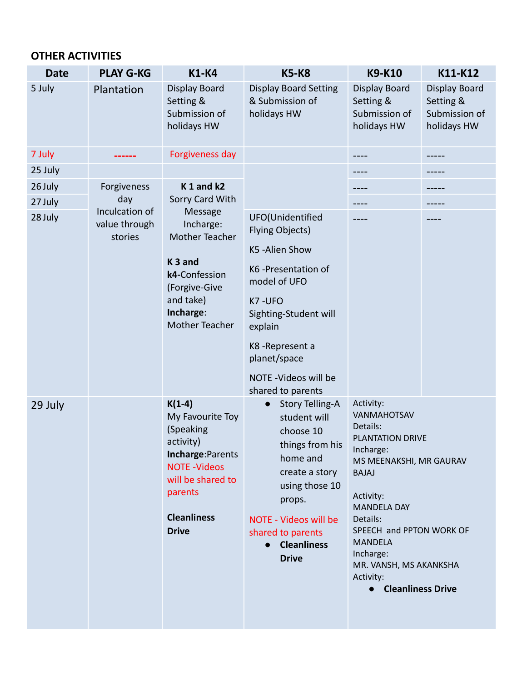| <b>Date</b> | <b>PLAY G-KG</b>         | <b>K1-K4</b>                                                                                                                      | <b>K5-K8</b>                                                                                                                                                                                                                                                                                         | <b>K9-K10</b>                                                                                                                     | K11-K12                                                           |
|-------------|--------------------------|-----------------------------------------------------------------------------------------------------------------------------------|------------------------------------------------------------------------------------------------------------------------------------------------------------------------------------------------------------------------------------------------------------------------------------------------------|-----------------------------------------------------------------------------------------------------------------------------------|-------------------------------------------------------------------|
| 5 July      | Plantation               | <b>Display Board</b><br>Setting &<br>Submission of<br>holidays HW                                                                 | <b>Display Board Setting</b><br>& Submission of<br>holidays HW                                                                                                                                                                                                                                       | Display Board<br>Setting &<br>Submission of<br>holidays HW                                                                        | <b>Display Board</b><br>Setting &<br>Submission of<br>holidays HW |
| 7 July      |                          | Forgiveness day                                                                                                                   |                                                                                                                                                                                                                                                                                                      |                                                                                                                                   |                                                                   |
| 25 July     |                          |                                                                                                                                   |                                                                                                                                                                                                                                                                                                      |                                                                                                                                   |                                                                   |
| 26 July     | Forgiveness              | $K1$ and $k2$                                                                                                                     |                                                                                                                                                                                                                                                                                                      |                                                                                                                                   |                                                                   |
| 27 July     | day<br>Inculcation of    | Sorry Card With                                                                                                                   |                                                                                                                                                                                                                                                                                                      |                                                                                                                                   |                                                                   |
| 28 July     | value through<br>stories | Message<br>Incharge:<br><b>Mother Teacher</b>                                                                                     | UFO(Unidentified<br><b>Flying Objects)</b>                                                                                                                                                                                                                                                           |                                                                                                                                   |                                                                   |
|             |                          |                                                                                                                                   | K5-Alien Show                                                                                                                                                                                                                                                                                        |                                                                                                                                   |                                                                   |
|             |                          | K <sub>3</sub> and<br>k4-Confession<br>(Forgive-Give<br>and take)<br>Incharge:<br><b>Mother Teacher</b>                           | K6-Presentation of<br>model of UFO                                                                                                                                                                                                                                                                   |                                                                                                                                   |                                                                   |
|             |                          |                                                                                                                                   | K7-UFO<br>Sighting-Student will                                                                                                                                                                                                                                                                      |                                                                                                                                   |                                                                   |
|             |                          |                                                                                                                                   | explain                                                                                                                                                                                                                                                                                              |                                                                                                                                   |                                                                   |
|             |                          |                                                                                                                                   | K8-Represent a<br>planet/space                                                                                                                                                                                                                                                                       |                                                                                                                                   |                                                                   |
|             |                          |                                                                                                                                   | NOTE - Videos will be<br>shared to parents                                                                                                                                                                                                                                                           |                                                                                                                                   |                                                                   |
| 29 July     |                          | $K(1-4)$<br>My Favourite Toy<br>(Speaking<br>activity)<br>Incharge: Parents<br><b>NOTE-Videos</b><br>will be shared to<br>parents | <b>Story Telling-A</b><br>Activity:<br>$\bullet$<br>VANMAHOTSAV<br>student will<br>Details:<br>choose 10<br>PLANTATION DRIVE<br>things from his<br>Incharge:<br>home and<br>MS MEENAKSHI, MR GAURAV<br>create a story<br><b>BAJAJ</b><br>using those 10<br>Activity:<br>props.<br><b>MANDELA DAY</b> |                                                                                                                                   |                                                                   |
|             |                          | <b>Cleanliness</b><br><b>Drive</b>                                                                                                | <b>NOTE - Videos will be</b><br>shared to parents<br><b>Cleanliness</b><br>$\bullet$<br><b>Drive</b>                                                                                                                                                                                                 | Details:<br>SPEECH and PPTON WORK OF<br><b>MANDELA</b><br>Incharge:<br>MR. VANSH, MS AKANKSHA<br>Activity:<br>• Cleanliness Drive |                                                                   |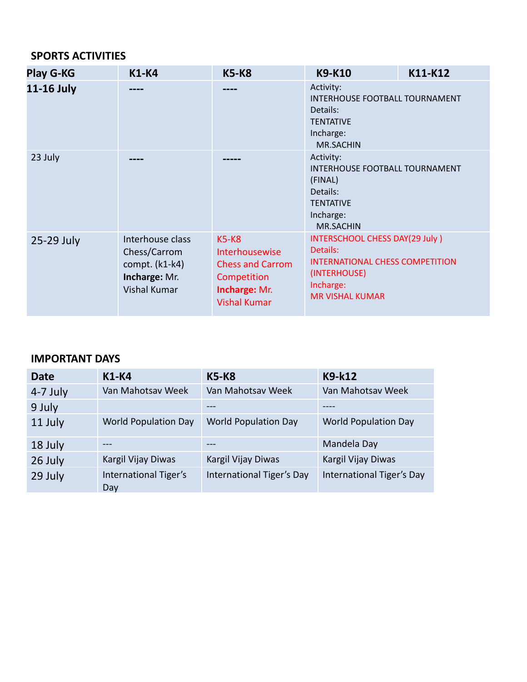## **SPORTS ACTIVITIES**

| <b>Play G-KG</b> | <b>K1-K4</b>                                                                               | <b>K5-K8</b>                                                                                                | <b>K9-K10</b>                                                                                                                               | K11-K12 |  |
|------------------|--------------------------------------------------------------------------------------------|-------------------------------------------------------------------------------------------------------------|---------------------------------------------------------------------------------------------------------------------------------------------|---------|--|
| 11-16 July       |                                                                                            |                                                                                                             | Activity:<br>INTERHOUSE FOOTBALL TOURNAMENT<br>Details:<br><b>TENTATIVE</b><br>Incharge:<br><b>MR.SACHIN</b>                                |         |  |
| 23 July          |                                                                                            |                                                                                                             | Activity:<br>INTERHOUSE FOOTBALL TOURNAMENT<br>(FINAL)<br>Details:<br><b>TENTATIVE</b><br>Incharge:<br><b>MR.SACHIN</b>                     |         |  |
| 25-29 July       | Interhouse class<br>Chess/Carrom<br>compt. (k1-k4)<br>Incharge: Mr.<br><b>Vishal Kumar</b> | $K5-K8$<br>Interhousewise<br><b>Chess and Carrom</b><br>Competition<br>Incharge: Mr.<br><b>Vishal Kumar</b> | INTERSCHOOL CHESS DAY(29 July)<br>Details:<br><b>INTERNATIONAL CHESS COMPETITION</b><br>(INTERHOUSE)<br>Incharge:<br><b>MR VISHAL KUMAR</b> |         |  |

| Date       | <b>K1-K4</b>                 | <b>K5-K8</b>                | K9-k12                      |
|------------|------------------------------|-----------------------------|-----------------------------|
| $4-7$ July | Van Mahotsav Week            | Van Mahotsav Week           | Van Mahotsav Week           |
| 9 July     |                              |                             |                             |
| 11 July    | <b>World Population Day</b>  | <b>World Population Day</b> | <b>World Population Day</b> |
| 18 July    | ---                          |                             | Mandela Day                 |
| 26 July    | Kargil Vijay Diwas           | Kargil Vijay Diwas          | Kargil Vijay Diwas          |
| 29 July    | International Tiger's<br>Day | International Tiger's Day   | International Tiger's Day   |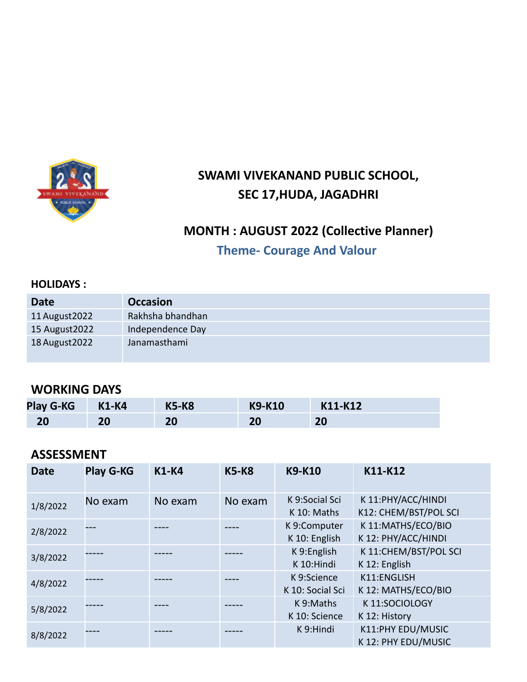

# **SWAMI VIVEKANAND PUBLIC SCHOOL, SEC 17,HUDA, JAGADHRI**

## **MONTH : AUGUST 2022 (Collective Planner)**

## **Theme- Courage And Valour**

#### **HOLIDAYS :**

| <b>Date</b>    | <b>Occasion</b>  |
|----------------|------------------|
| 11 August 2022 | Rakhsha bhandhan |
| 15 August 2022 | Independence Day |
| 18 August 2022 | Janamasthami     |

## **WORKING DAYS**

| <b>Play G-KG</b> | <b>K1-K4</b> | <b>K5-K8</b> | <b>K9-K10</b> | K11-K12 |
|------------------|--------------|--------------|---------------|---------|
| 20               | 20           | 20           | 20            | 20      |

### **ASSESSMENT**

| <b>Date</b> | <b>Play G-KG</b> | <b>K1-K4</b> | <b>K5-K8</b> | <b>K9-K10</b>                   | K11-K12                                     |
|-------------|------------------|--------------|--------------|---------------------------------|---------------------------------------------|
| 1/8/2022    | No exam          | No exam      | No exam      | K 9:Social Sci<br>K 10: Maths   | K 11:PHY/ACC/HINDI<br>K12: CHEM/BST/POL SCI |
| 2/8/2022    |                  |              |              | K 9:Computer<br>K 10: English   | K 11:MATHS/ECO/BIO<br>K 12: PHY/ACC/HINDI   |
| 3/8/2022    |                  |              |              | K 9:English<br>K 10:Hindi       | K 11:CHEM/BST/POL SCI<br>K 12: English      |
| 4/8/2022    |                  |              |              | K 9:Science<br>K 10: Social Sci | K11:ENGLISH<br>K 12: MATHS/ECO/BIO          |
| 5/8/2022    |                  |              |              | K 9:Maths<br>K 10: Science      | K11:SOCIOLOGY<br>K 12: History              |
| 8/8/2022    |                  |              |              | K 9:Hindi                       | K11:PHY EDU/MUSIC<br>K 12: PHY EDU/MUSIC    |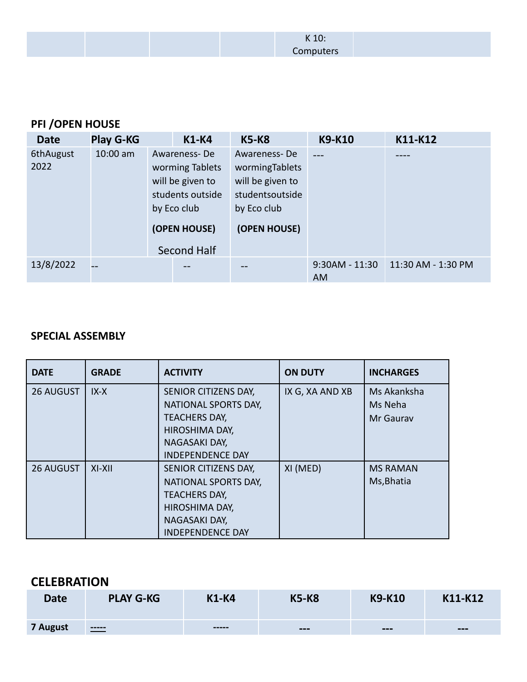K 10: **Computers** 

## **PFI /OPEN HOUSE**

| <b>Date</b> | <b>Play G-KG</b> | <b>K1-K4</b>                | <b>K5-K8</b>     | <b>K9-K10</b>    | K11-K12            |
|-------------|------------------|-----------------------------|------------------|------------------|--------------------|
| 6thAugust   | $10:00$ am       | Awareness-De                | Awareness-De     |                  |                    |
| 2022        |                  | worming Tablets             | wormingTablets   |                  |                    |
|             |                  | will be given to            | will be given to |                  |                    |
|             |                  | students outside            | studentsoutside  |                  |                    |
|             |                  | by Eco club                 | by Eco club      |                  |                    |
|             |                  | (OPEN HOUSE)<br>Second Half | (OPEN HOUSE)     |                  |                    |
| 13/8/2022   | u.               |                             |                  | $9:30AM - 11:30$ | 11:30 AM - 1:30 PM |
|             |                  |                             |                  | AM.              |                    |

#### **SPECIAL ASSEMBLY**

| <b>DATE</b> | <b>GRADE</b> | <b>ACTIVITY</b>         | <b>ON DUTY</b>  | <b>INCHARGES</b> |
|-------------|--------------|-------------------------|-----------------|------------------|
| 26 AUGUST   | $IX-X$       | SENIOR CITIZENS DAY,    | IX G, XA AND XB | Ms Akanksha      |
|             |              | NATIONAL SPORTS DAY,    |                 | Ms Neha          |
|             |              | <b>TEACHERS DAY,</b>    |                 | Mr Gauray        |
|             |              | HIROSHIMA DAY,          |                 |                  |
|             |              | NAGASAKI DAY,           |                 |                  |
|             |              | <b>INDEPENDENCE DAY</b> |                 |                  |
| 26 AUGUST   | $XI-XII$     | SENIOR CITIZENS DAY,    | XI (MED)        | <b>MS RAMAN</b>  |
|             |              | NATIONAL SPORTS DAY,    |                 | Ms, Bhatia       |
|             |              | <b>TEACHERS DAY,</b>    |                 |                  |
|             |              | HIROSHIMA DAY,          |                 |                  |
|             |              | NAGASAKI DAY,           |                 |                  |
|             |              | <b>INDEPENDENCE DAY</b> |                 |                  |

## **CELEBRATION**

| <b>Date</b> | <b>PLAY G-KG</b> | <b>K1-K4</b> | <b>K5-K8</b> | <b>K9-K10</b>          | K11-K12 |
|-------------|------------------|--------------|--------------|------------------------|---------|
| 7 August    | $\frac{1}{1}$    |              | ---          | $\qquad \qquad \cdots$ | $- - -$ |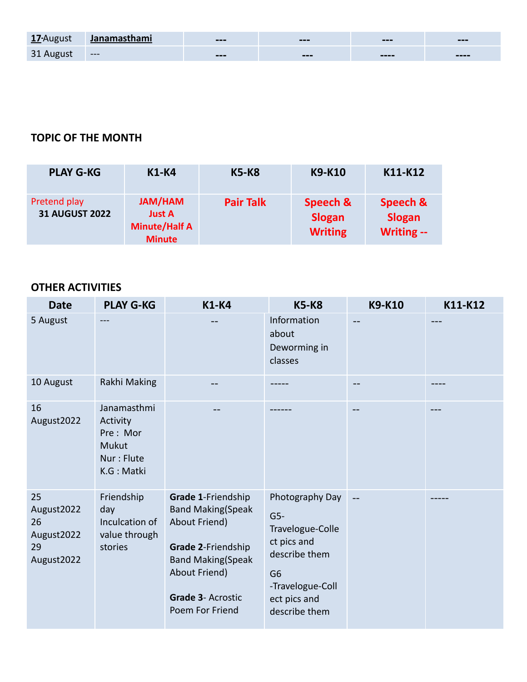| 17-August | <u>Janamasthami</u> | $---$ | $---$                  | $---$                                | $---$   |
|-----------|---------------------|-------|------------------------|--------------------------------------|---------|
| 31 August | <b>CONTINUES</b>    | $---$ | $\qquad \qquad \cdots$ | $\qquad \qquad \cdots \qquad \qquad$ | $--- -$ |

## **TOPIC OF THE MONTH**

| <b>PLAY G-KG</b>                      | <b>K1-K4</b>                                                      | <b>K5-K8</b>     | <b>K9-K10</b>                               | K11-K12                                 |
|---------------------------------------|-------------------------------------------------------------------|------------------|---------------------------------------------|-----------------------------------------|
| Pretend play<br><b>31 AUGUST 2022</b> | JAM/HAM<br><b>Just A</b><br><b>Minute/Half A</b><br><b>Minute</b> | <b>Pair Talk</b> | Speech &<br><b>Slogan</b><br><b>Writing</b> | Speech &<br><b>Slogan</b><br>Writing -- |

| <b>Date</b>                                              | <b>PLAY G-KG</b>                                                         | <b>K1-K4</b>                                                                                                                                                               | <b>K5-K8</b>                                                                                                                                        | <b>K9-K10</b> | K11-K12 |
|----------------------------------------------------------|--------------------------------------------------------------------------|----------------------------------------------------------------------------------------------------------------------------------------------------------------------------|-----------------------------------------------------------------------------------------------------------------------------------------------------|---------------|---------|
| 5 August                                                 |                                                                          |                                                                                                                                                                            | Information<br>about<br>Deworming in<br>classes                                                                                                     |               |         |
| 10 August                                                | Rakhi Making                                                             |                                                                                                                                                                            |                                                                                                                                                     |               |         |
| 16<br>August2022                                         | Janamasthmi<br>Activity<br>Pre: Mor<br>Mukut<br>Nur: Flute<br>K.G: Matki |                                                                                                                                                                            |                                                                                                                                                     |               |         |
| 25<br>August2022<br>26<br>August2022<br>29<br>August2022 | Friendship<br>day<br>Inculcation of<br>value through<br>stories          | Grade 1-Friendship<br><b>Band Making(Speak</b><br>About Friend)<br>Grade 2-Friendship<br><b>Band Making(Speak</b><br>About Friend)<br>Grade 3- Acrostic<br>Poem For Friend | Photography Day<br>$G5-$<br>Travelogue-Colle<br>ct pics and<br>describe them<br>G <sub>6</sub><br>-Travelogue-Coll<br>ect pics and<br>describe them |               |         |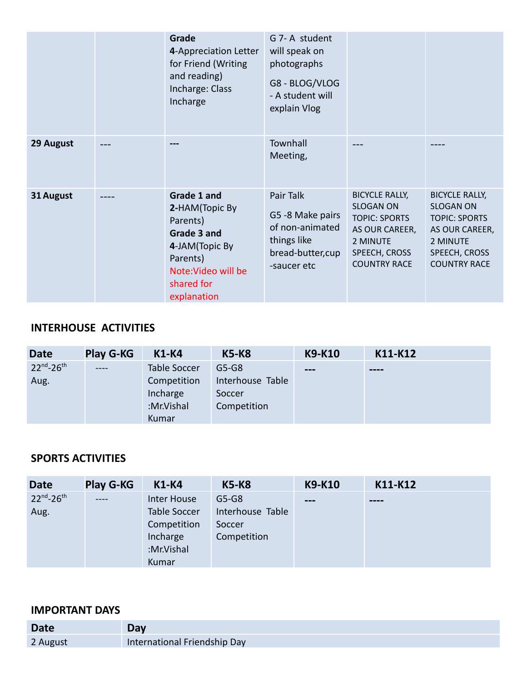|           | Grade<br>4-Appreciation Letter<br>for Friend (Writing<br>and reading)<br>Incharge: Class<br>Incharge                                        | G 7-A student<br>will speak on<br>photographs<br>G8 - BLOG/VLOG<br>- A student will<br>explain Vlog |                                                                                                                                         |                                                                                                                                         |
|-----------|---------------------------------------------------------------------------------------------------------------------------------------------|-----------------------------------------------------------------------------------------------------|-----------------------------------------------------------------------------------------------------------------------------------------|-----------------------------------------------------------------------------------------------------------------------------------------|
| 29 August |                                                                                                                                             | Townhall<br>Meeting,                                                                                |                                                                                                                                         |                                                                                                                                         |
| 31 August | Grade 1 and<br>2-HAM(Topic By<br>Parents)<br>Grade 3 and<br>4-JAM (Topic By<br>Parents)<br>Note: Video will be<br>shared for<br>explanation | Pair Talk<br>G5 -8 Make pairs<br>of non-animated<br>things like<br>bread-butter, cup<br>-saucer etc | <b>BICYCLE RALLY,</b><br><b>SLOGAN ON</b><br><b>TOPIC: SPORTS</b><br>AS OUR CAREER,<br>2 MINUTE<br>SPEECH, CROSS<br><b>COUNTRY RACE</b> | <b>BICYCLE RALLY,</b><br><b>SLOGAN ON</b><br><b>TOPIC: SPORTS</b><br>AS OUR CAREER,<br>2 MINUTE<br>SPEECH, CROSS<br><b>COUNTRY RACE</b> |

#### **INTERHOUSE ACTIVITIES**

| <b>Date</b>         | <b>Play G-KG</b> | <b>K1-K4</b> | <b>K5-K8</b>     | K9-K10                   | K11-K12                              |
|---------------------|------------------|--------------|------------------|--------------------------|--------------------------------------|
| $22^{nd} - 26^{th}$ | $\frac{1}{2}$    | Table Soccer | $G5-G8$          | $\qquad \qquad \qquad -$ | $\qquad \qquad \cdots \qquad \qquad$ |
| Aug.                |                  | Competition  | Interhouse Table |                          |                                      |
|                     |                  | Incharge     | Soccer           |                          |                                      |
|                     |                  | :Mr.Vishal   | Competition      |                          |                                      |
|                     |                  | Kumar        |                  |                          |                                      |

## **SPORTS ACTIVITIES**

| <b>Date</b>         | <b>Play G-KG</b> | <b>K1-K4</b> | <b>K5-K8</b>     | K9-K10                 | K11-K12 |
|---------------------|------------------|--------------|------------------|------------------------|---------|
| $22^{nd} - 26^{th}$ | -----            | Inter House  | $G5-G8$          | $\qquad \qquad \cdots$ | ----    |
| Aug.                |                  | Table Soccer | Interhouse Table |                        |         |
|                     |                  | Competition  | Soccer           |                        |         |
|                     |                  | Incharge     | Competition      |                        |         |
|                     |                  | :Mr.Vishal   |                  |                        |         |
|                     |                  | Kumar        |                  |                        |         |

| <b>Date</b> | Day                          |
|-------------|------------------------------|
| 2 August    | International Friendship Day |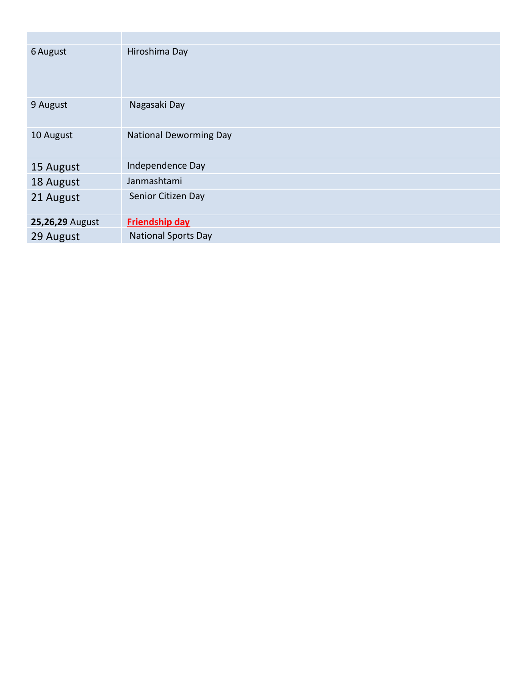| 6 August        | Hiroshima Day                 |
|-----------------|-------------------------------|
| 9 August        | Nagasaki Day                  |
| 10 August       | <b>National Deworming Day</b> |
| 15 August       | Independence Day              |
| 18 August       | Janmashtami                   |
| 21 August       | Senior Citizen Day            |
| 25,26,29 August | <b>Friendship day</b>         |
| 29 August       | <b>National Sports Day</b>    |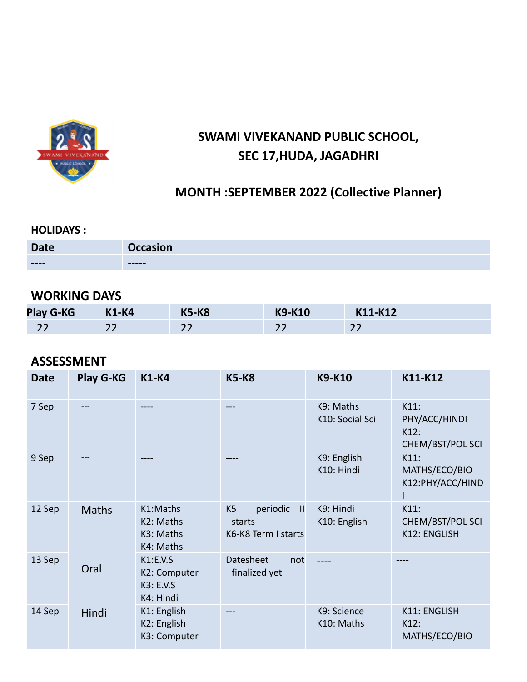

## **SWAMI VIVEKANAND PUBLIC SCHOOL, SEC 17,HUDA, JAGADHRI**

## **MONTH :SEPTEMBER 2022 (Collective Planner)**

#### **HOLIDAYS :**

| <b>Date</b> | <b>Occasion</b> |
|-------------|-----------------|
| $--- -$     | ------          |

## **WORKING DAYS**

| <b>Play G-KG</b> | <b>K1-K4</b> | <b>K5-K8</b> | <b>K9-K10</b> | K11-K12      |
|------------------|--------------|--------------|---------------|--------------|
| n-<br>LL         | ے ے          | ᅩ            | $\sim$<br>ے ے | $\sim$<br>LL |

## **ASSESSMENT**

| <b>Date</b> | <b>Play G-KG</b> | <b>K1-K4</b>                                       | <b>K5-K8</b>                                                                | <b>K9-K10</b>                | K11-K12                                              |
|-------------|------------------|----------------------------------------------------|-----------------------------------------------------------------------------|------------------------------|------------------------------------------------------|
| 7 Sep       |                  |                                                    | ---                                                                         | K9: Maths<br>K10: Social Sci | $K11$ :<br>PHY/ACC/HINDI<br>K12:<br>CHEM/BST/POL SCI |
| 9 Sep       |                  |                                                    |                                                                             | K9: English<br>K10: Hindi    | $K11$ :<br>MATHS/ECO/BIO<br>K12:PHY/ACC/HIND         |
| 12 Sep      | <b>Maths</b>     | K1:Maths<br>K2: Maths<br>K3: Maths<br>K4: Maths    | periodic<br>K <sub>5</sub><br>$\mathbf{H}$<br>starts<br>K6-K8 Term I starts | K9: Hindi<br>K10: English    | K11:<br>CHEM/BST/POL SCI<br>K12: ENGLISH             |
| 13 Sep      | Oral             | K1:E.V.S<br>K2: Computer<br>K3: E.V.S<br>K4: Hindi | <b>Datesheet</b><br>not<br>finalized yet                                    |                              |                                                      |
| 14 Sep      | Hindi            | K1: English<br>K2: English<br>K3: Computer         |                                                                             | K9: Science<br>K10: Maths    | <b>K11: ENGLISH</b><br>K12:<br>MATHS/ECO/BIO         |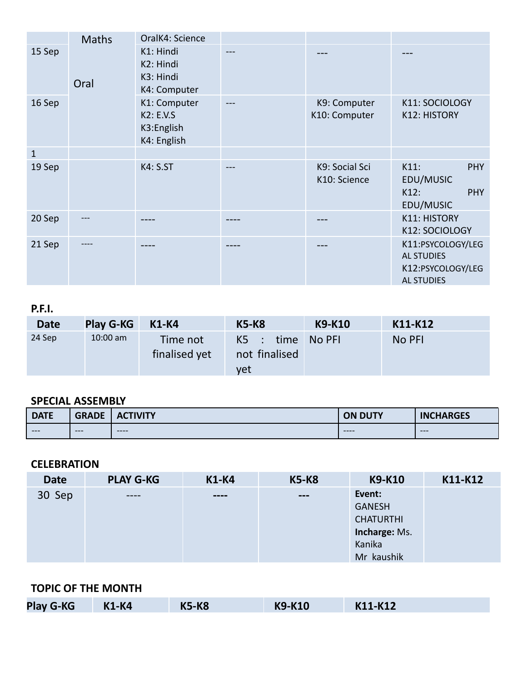|              | <b>Maths</b> | OralK4: Science                                               |     |                                |                                                                                  |
|--------------|--------------|---------------------------------------------------------------|-----|--------------------------------|----------------------------------------------------------------------------------|
| 15 Sep       | Oral         | K1: Hindi<br>K2: Hindi<br>K3: Hindi<br>K4: Computer           | --- | ---                            | ---                                                                              |
| 16 Sep       |              | K1: Computer<br><b>K2: E.V.S</b><br>K3:English<br>K4: English |     | K9: Computer<br>K10: Computer  | K11: SOCIOLOGY<br><b>K12: HISTORY</b>                                            |
| $\mathbf{1}$ |              |                                                               |     |                                |                                                                                  |
| 19 Sep       |              | <b>K4: S.ST</b>                                               |     | K9: Social Sci<br>K10: Science | $K11$ :<br><b>PHY</b><br>EDU/MUSIC<br><b>PHY</b><br>K12:<br>EDU/MUSIC            |
| 20 Sep       |              |                                                               |     |                                | <b>K11: HISTORY</b><br>K12: SOCIOLOGY                                            |
| 21 Sep       | ----         |                                                               |     |                                | K11:PSYCOLOGY/LEG<br><b>AL STUDIES</b><br>K12:PSYCOLOGY/LEG<br><b>AL STUDIES</b> |

#### **P.F.I.**

| <b>Date</b> | <b>Play G-KG</b> | K1-K4                     | <b>K5-K8</b>                               | <b>K9-K10</b> | K11-K12 |
|-------------|------------------|---------------------------|--------------------------------------------|---------------|---------|
| 24 Sep      | $10:00$ am       | Time not<br>finalised yet | $K5$ : time No PFI<br>not finalised<br>yet |               | No PFI  |

## **SPECIAL ASSEMBLY**

| <b>DATE</b> | <b>GRADE</b>               | <b>TIVITY</b><br>$\mathbf{w}$ | <b>ON DUTY</b> | <b>CHARGES</b><br>$\blacksquare$ |
|-------------|----------------------------|-------------------------------|----------------|----------------------------------|
| $---$       | $---$<br><b>CONTRACTOR</b> | $---$                         | $---$          | $---$                            |

#### **CELEBRATION**

| <b>Date</b> | <b>PLAY G-KG</b> | <b>K1-K4</b>                         | <b>K5-K8</b>                 | K9-K10           | K11-K12 |
|-------------|------------------|--------------------------------------|------------------------------|------------------|---------|
| 30 Sep      | ----             | $\qquad \qquad \cdots \qquad \qquad$ | $\qquad \qquad \blacksquare$ | Event:           |         |
|             |                  |                                      |                              | <b>GANESH</b>    |         |
|             |                  |                                      |                              | <b>CHATURTHI</b> |         |
|             |                  |                                      |                              | Incharge: Ms.    |         |
|             |                  |                                      |                              | Kanika           |         |
|             |                  |                                      |                              | Mr kaushik       |         |

#### **TOPIC OF THE MONTH**

| <b>Play G-KG</b><br><b>K5-K8</b><br><b>K1-K4</b> | <b>K9-K10</b> | K11-K12 |  |
|--------------------------------------------------|---------------|---------|--|
|--------------------------------------------------|---------------|---------|--|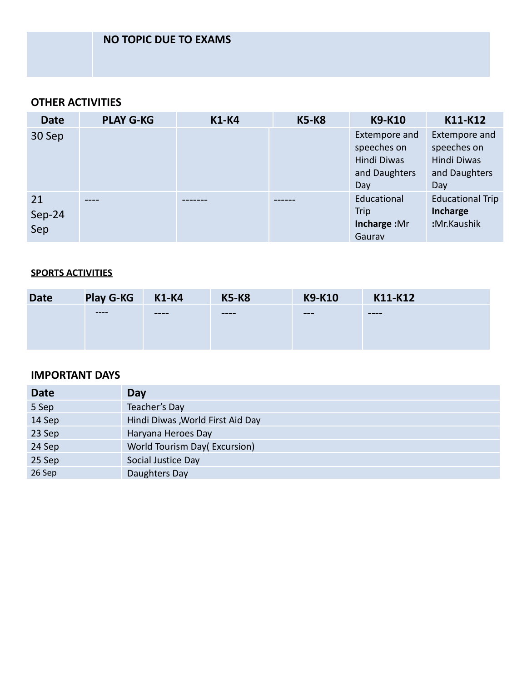### **OTHER ACTIVITIES**

| <b>Date</b>         | <b>PLAY G-KG</b> | <b>K1-K4</b> | <b>K5-K8</b> | K9-K10                                                              | K11-K12                                                             |
|---------------------|------------------|--------------|--------------|---------------------------------------------------------------------|---------------------------------------------------------------------|
| 30 Sep              |                  |              |              | Extempore and<br>speeches on<br>Hindi Diwas<br>and Daughters<br>Day | Extempore and<br>speeches on<br>Hindi Diwas<br>and Daughters<br>Day |
| 21<br>Sep-24<br>Sep | ----             |              |              | Educational<br>Trip<br>Incharge: Mr<br>Gaurav                       | <b>Educational Trip</b><br>Incharge<br>:Mr.Kaushik                  |

#### **SPORTS ACTIVITIES**

| <b>Date</b> | <b>Play G-KG</b> | <b>K1-K4</b>  | <b>K5-K8</b>                 | <b>K9-K10</b>          | K11-K12       |
|-------------|------------------|---------------|------------------------------|------------------------|---------------|
|             | -----            | $\frac{1}{2}$ | $\qquad \qquad \blacksquare$ | $\qquad \qquad \cdots$ | $\frac{1}{2}$ |
|             |                  |               |                              |                        |               |
|             |                  |               |                              |                        |               |

| <b>Date</b> | Day                               |
|-------------|-----------------------------------|
| 5 Sep       | Teacher's Day                     |
| 14 Sep      | Hindi Diwas , World First Aid Day |
| 23 Sep      | Haryana Heroes Day                |
| 24 Sep      | World Tourism Day(Excursion)      |
| 25 Sep      | Social Justice Day                |
| 26 Sep      | Daughters Day                     |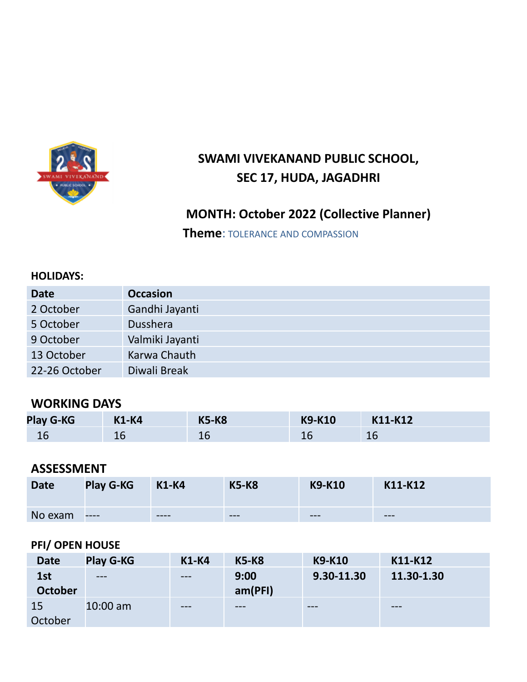

# **SWAMI VIVEKANAND PUBLIC SCHOOL, SEC 17, HUDA, JAGADHRI**

## **MONTH: October 2022 (Collective Planner)**

**Theme**: TOLERANCE AND COMPASSION

#### **HOLIDAYS:**

| <b>Date</b>   | <b>Occasion</b> |
|---------------|-----------------|
| 2 October     | Gandhi Jayanti  |
| 5 October     | <b>Dusshera</b> |
| 9 October     | Valmiki Jayanti |
| 13 October    | Karwa Chauth    |
| 22-26 October | Diwali Break    |

## **WORKING DAYS**

| <b>Play G-KG</b> | <b>K1-K4</b> | <b>K5-K8</b> | <b>K9-K10</b> | K11-K12 |
|------------------|--------------|--------------|---------------|---------|
|                  | ᅭ            | ΨL           |               | 16      |

## **ASSESSMENT**

| <b>Date</b> | <b>Play G-KG</b> | <b>K1-K4</b> | <b>K5-K8</b> | <b>K9-K10</b> | K11-K12 |
|-------------|------------------|--------------|--------------|---------------|---------|
| No exam     | $---$            | ----         | $-- -$       | $-- -$        | $- - -$ |

#### **PFI/ OPEN HOUSE**

| <b>Date</b>           | <b>Play G-KG</b> | <b>K1-K4</b> | <b>K5-K8</b>    | <b>K9-K10</b> | K11-K12    |
|-----------------------|------------------|--------------|-----------------|---------------|------------|
| 1st<br><b>October</b> | $---$            | $---$        | 9:00<br>am(PFI) | 9.30-11.30    | 11.30-1.30 |
| <b>15</b><br>October  | $10:00$ am       | $---$        | $- - -$         | $-- -$        | ---        |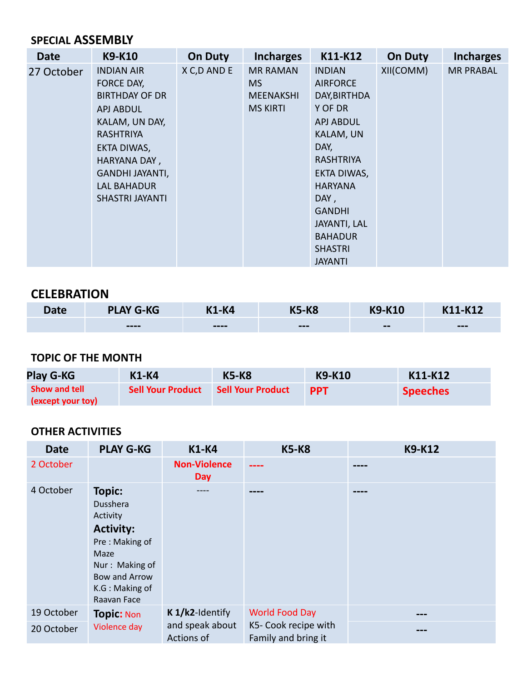## **SPECIAL ASSEMBLY**

| <b>Date</b> | <b>K9-K10</b>          | <b>On Duty</b> | <b>Incharges</b> | K11-K12             | <b>On Duty</b> | <b>Incharges</b> |
|-------------|------------------------|----------------|------------------|---------------------|----------------|------------------|
| 27 October  | <b>INDIAN AIR</b>      | X C, D AND E   | <b>MR RAMAN</b>  | <b>INDIAN</b>       | XII(COMM)      | <b>MR PRABAL</b> |
|             | FORCE DAY,             |                | MS.              | <b>AIRFORCE</b>     |                |                  |
|             | <b>BIRTHDAY OF DR</b>  |                | <b>MEENAKSHI</b> | DAY, BIRTHDA        |                |                  |
|             | APJ ABDUL              |                | <b>MS KIRTI</b>  | Y OF DR             |                |                  |
|             | KALAM, UN DAY,         |                |                  | <b>APJ ABDUL</b>    |                |                  |
|             | RASHTRIYA              |                |                  | KALAM, UN           |                |                  |
|             | EKTA DIWAS,            |                |                  | DAY,                |                |                  |
|             | HARYANA DAY,           |                |                  | <b>RASHTRIYA</b>    |                |                  |
|             | GANDHI JAYANTI,        |                |                  | EKTA DIWAS,         |                |                  |
|             | LAL BAHADUR            |                |                  | <b>HARYANA</b>      |                |                  |
|             | <b>SHASTRI JAYANTI</b> |                |                  | DAY,                |                |                  |
|             |                        |                |                  | <b>GANDHI</b>       |                |                  |
|             |                        |                |                  | <b>JAYANTI, LAL</b> |                |                  |
|             |                        |                |                  | <b>BAHADUR</b>      |                |                  |
|             |                        |                |                  | <b>SHASTRI</b>      |                |                  |
|             |                        |                |                  | <b>JAYANTI</b>      |                |                  |

## **CELEBRATION**

| Date | <b>PLAY G-KG</b> | K1-K4 | <b>K5-K8</b> | <b>K9-K10</b>            | K11-K12 |
|------|------------------|-------|--------------|--------------------------|---------|
|      | $---$            | $---$ | $---$        | $\overline{\phantom{m}}$ | $---$   |

### **TOPIC OF THE MONTH**

| <b>Play G-KG</b>                          | K1-K4                    | <b>K5-K8</b>             | K9-K10     | K11-K12         |
|-------------------------------------------|--------------------------|--------------------------|------------|-----------------|
| <b>Show and tell</b><br>(except your toy) | <b>Sell Your Product</b> | <b>Sell Your Product</b> | <b>PPT</b> | <b>Speeches</b> |

| <b>Date</b> | <b>PLAY G-KG</b>                                                                                                                                               | <b>K1-K4</b>                      | <b>K5-K8</b>                                | <b>K9-K12</b> |
|-------------|----------------------------------------------------------------------------------------------------------------------------------------------------------------|-----------------------------------|---------------------------------------------|---------------|
| 2 October   |                                                                                                                                                                | <b>Non-Violence</b><br><b>Day</b> | ----                                        | ----          |
| 4 October   | <b>Topic:</b><br><b>Dusshera</b><br>Activity<br><b>Activity:</b><br>Pre: Making of<br>Maze<br>Nur: Making of<br>Bow and Arrow<br>K.G: Making of<br>Raavan Face | ----                              |                                             |               |
| 19 October  | <b>Topic: Non</b>                                                                                                                                              | K 1/k2-Identify                   | <b>World Food Day</b>                       |               |
| 20 October  | Violence day                                                                                                                                                   | and speak about<br>Actions of     | K5- Cook recipe with<br>Family and bring it |               |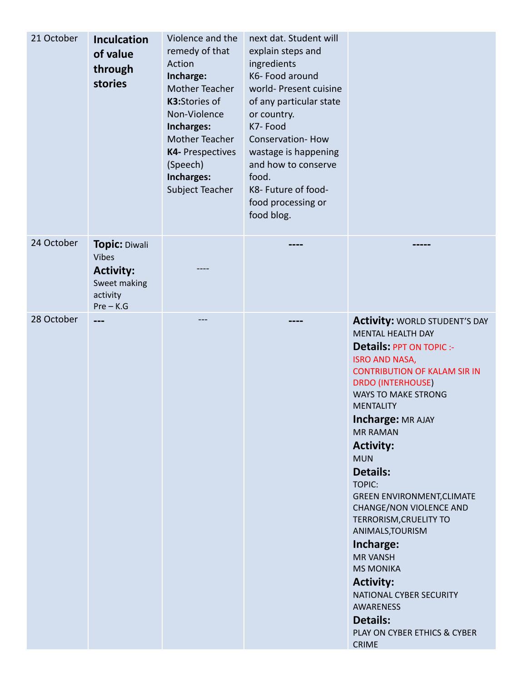| 21 October | <b>Inculcation</b><br>of value<br>through<br>stories                                                | Violence and the<br>remedy of that<br>Action<br>Incharge:<br><b>Mother Teacher</b><br>K3:Stories of<br>Non-Violence<br>Incharges:<br>Mother Teacher<br><b>K4- Prespectives</b><br>(Speech)<br>Incharges:<br>Subject Teacher | next dat. Student will<br>explain steps and<br>ingredients<br>K6- Food around<br>world- Present cuisine<br>of any particular state<br>or country.<br>K7-Food<br><b>Conservation-How</b><br>wastage is happening<br>and how to conserve<br>food.<br>K8- Future of food-<br>food processing or<br>food blog. |                                                                                                                                                                                                                                                                                                                                                                                                                                                                                                                                                                                                                                                                                       |
|------------|-----------------------------------------------------------------------------------------------------|-----------------------------------------------------------------------------------------------------------------------------------------------------------------------------------------------------------------------------|------------------------------------------------------------------------------------------------------------------------------------------------------------------------------------------------------------------------------------------------------------------------------------------------------------|---------------------------------------------------------------------------------------------------------------------------------------------------------------------------------------------------------------------------------------------------------------------------------------------------------------------------------------------------------------------------------------------------------------------------------------------------------------------------------------------------------------------------------------------------------------------------------------------------------------------------------------------------------------------------------------|
| 24 October | <b>Topic: Diwali</b><br><b>Vibes</b><br><b>Activity:</b><br>Sweet making<br>activity<br>$Pre - K.G$ |                                                                                                                                                                                                                             |                                                                                                                                                                                                                                                                                                            |                                                                                                                                                                                                                                                                                                                                                                                                                                                                                                                                                                                                                                                                                       |
| 28 October | $---$                                                                                               | ---                                                                                                                                                                                                                         | ----                                                                                                                                                                                                                                                                                                       | <b>Activity: WORLD STUDENT'S DAY</b><br><b>MENTAL HEALTH DAY</b><br><b>Details: PPT ON TOPIC :-</b><br><b>ISRO AND NASA,</b><br><b>CONTRIBUTION OF KALAM SIR IN</b><br><b>DRDO (INTERHOUSE)</b><br><b>WAYS TO MAKE STRONG</b><br><b>MENTALITY</b><br><b>Incharge: MR AJAY</b><br><b>MR RAMAN</b><br><b>Activity:</b><br><b>MUN</b><br><b>Details:</b><br><b>TOPIC:</b><br><b>GREEN ENVIRONMENT, CLIMATE</b><br><b>CHANGE/NON VIOLENCE AND</b><br>TERRORISM, CRUELITY TO<br>ANIMALS, TOURISM<br>Incharge:<br><b>MR VANSH</b><br><b>MS MONIKA</b><br><b>Activity:</b><br>NATIONAL CYBER SECURITY<br><b>AWARENESS</b><br><b>Details:</b><br>PLAY ON CYBER ETHICS & CYBER<br><b>CRIME</b> |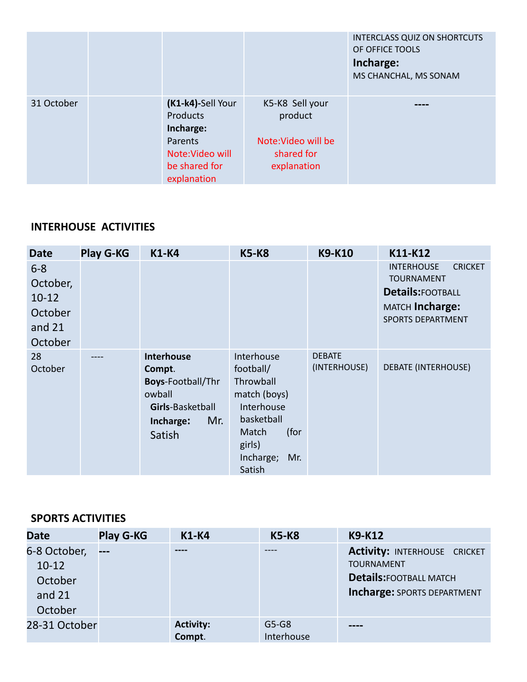|            |                                                   |                                                  | <b>INTERCLASS QUIZ ON SHORTCUTS</b><br>OF OFFICE TOOLS<br>Incharge:<br>MS CHANCHAL, MS SONAM |
|------------|---------------------------------------------------|--------------------------------------------------|----------------------------------------------------------------------------------------------|
| 31 October | (K1-k4)-Sell Your<br><b>Products</b><br>Incharge: | K5-K8 Sell your<br>product                       |                                                                                              |
|            | Parents<br>Note: Video will<br>be shared for      | Note: Video will be<br>shared for<br>explanation |                                                                                              |
|            | explanation                                       |                                                  |                                                                                              |

## **INTERHOUSE ACTIVITIES**

| <b>Date</b>                                                      | <b>Play G-KG</b> | <b>K1-K4</b>                                                                                                        | <b>K5-K8</b>                                                                                                                              | <b>K9-K10</b>                 | K11-K12                                                                                                                            |
|------------------------------------------------------------------|------------------|---------------------------------------------------------------------------------------------------------------------|-------------------------------------------------------------------------------------------------------------------------------------------|-------------------------------|------------------------------------------------------------------------------------------------------------------------------------|
| $6 - 8$<br>October,<br>$10-12$<br>October<br>and $21$<br>October |                  |                                                                                                                     |                                                                                                                                           |                               | <b>INTERHOUSE</b><br><b>CRICKET</b><br><b>TOURNAMENT</b><br><b>Details:FOOTBALL</b><br>MATCH Incharge:<br><b>SPORTS DEPARTMENT</b> |
| 28<br>October                                                    | ----             | <b>Interhouse</b><br>Compt.<br><b>Boys-Football/Thr</b><br>owball<br>Girls-Basketball<br>Mr.<br>Incharge:<br>Satish | Interhouse<br>football/<br>Throwball<br>match (boys)<br>Interhouse<br>basketball<br>(for<br>Match<br>girls)<br>Incharge;<br>Mr.<br>Satish | <b>DEBATE</b><br>(INTERHOUSE) | <b>DEBATE (INTERHOUSE)</b>                                                                                                         |

#### **SPORTS ACTIVITIES**

| <b>Date</b>                                               | <b>Play G-KG</b> | $K1-K4$                    | <b>K5-K8</b>          | <b>K9-K12</b>                                                                                                                    |
|-----------------------------------------------------------|------------------|----------------------------|-----------------------|----------------------------------------------------------------------------------------------------------------------------------|
| 6-8 October,<br>$10-12$<br>October<br>and $21$<br>October | $---$            | ----                       |                       | <b>Activity: INTERHOUSE CRICKET</b><br><b>TOURNAMENT</b><br><b>Details: FOOTBALL MATCH</b><br><b>Incharge: SPORTS DEPARTMENT</b> |
| 28-31 October                                             |                  | <b>Activity:</b><br>Compt. | $G5-G8$<br>Interhouse |                                                                                                                                  |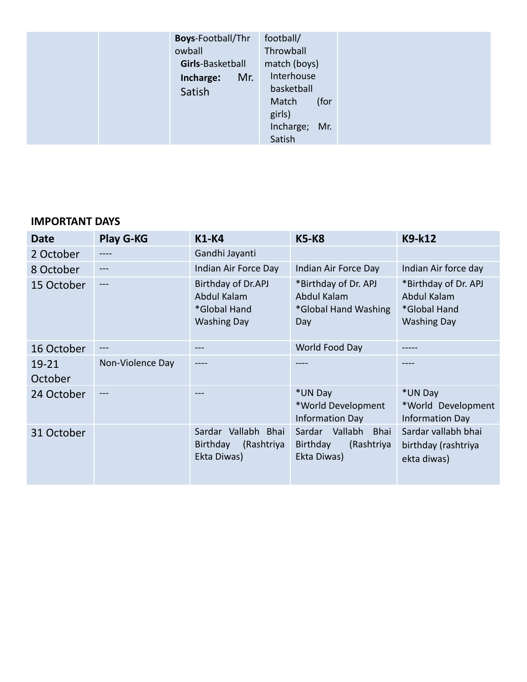| <b>Boys-Football/Thr</b><br>owball<br>Girls-Basketball<br>Mr.<br>Incharge:<br>Satish |  |
|--------------------------------------------------------------------------------------|--|
|                                                                                      |  |

| <b>Date</b>      | <b>Play G-KG</b> | <b>K1-K4</b>                                                            | <b>K5-K8</b>                                                                     | K9-k12                                                                    |
|------------------|------------------|-------------------------------------------------------------------------|----------------------------------------------------------------------------------|---------------------------------------------------------------------------|
| 2 October        | ----             | Gandhi Jayanti                                                          |                                                                                  |                                                                           |
| 8 October        |                  | Indian Air Force Day                                                    | Indian Air Force Day                                                             | Indian Air force day                                                      |
| 15 October       | $---$            | Birthday of Dr.APJ<br>Abdul Kalam<br>*Global Hand<br><b>Washing Day</b> | *Birthday of Dr. APJ<br>Abdul Kalam<br>*Global Hand Washing<br>Day               | *Birthday of Dr. APJ<br>Abdul Kalam<br>*Global Hand<br><b>Washing Day</b> |
| 16 October       | ---              | ---                                                                     | World Food Day                                                                   |                                                                           |
| 19-21<br>October | Non-Violence Day |                                                                         |                                                                                  |                                                                           |
| 24 October       | ---              | ---                                                                     | *UN Day<br>*World Development<br><b>Information Day</b>                          | *UN Day<br>*World Development<br><b>Information Day</b>                   |
| 31 October       |                  | Sardar Vallabh Bhai<br>Birthday<br>(Rashtriya<br>Ekta Diwas)            | Vallabh<br>Sardar<br><b>Bhai</b><br>(Rashtriya<br><b>Birthday</b><br>Ekta Diwas) | Sardar vallabh bhai<br>birthday (rashtriya<br>ekta diwas)                 |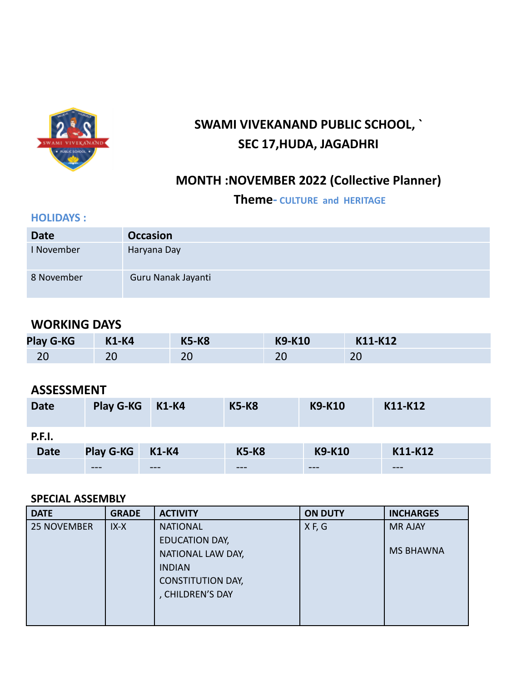

# **SWAMI VIVEKANAND PUBLIC SCHOOL, ` SEC 17,HUDA, JAGADHRI**

## **MONTH :NOVEMBER 2022 (Collective Planner)**

**Theme- CULTURE and HERITAGE**

#### **HOLIDAYS :**

| <b>Date</b> | <b>Occasion</b>    |
|-------------|--------------------|
| I November  | Haryana Day        |
| 8 November  | Guru Nanak Jayanti |

## **WORKING DAYS**

| <b>Play G-KG</b> | <b>K1-K4</b> | <b>K5-K8</b> | <b>K9-K10</b> | K11-K12 |
|------------------|--------------|--------------|---------------|---------|
| nr               | $\mathbf{A}$ | າເ           | ᅩ             | ററ      |
| ۷J               | ∠∪           | ∠∪           |               | ZU      |

## **ASSESSMENT**

| <b>Date</b>   | Play G-KG        | <b>K1-K4</b> | <b>K5-K8</b> | <b>K9-K10</b> | K11-K12 |
|---------------|------------------|--------------|--------------|---------------|---------|
| <b>P.F.I.</b> |                  |              |              |               |         |
| <b>Date</b>   | <b>Play G-KG</b> | <b>K1-K4</b> | <b>K5-K8</b> | <b>K9-K10</b> | K11-K12 |
|               | $- - -$          | ---          | ---          | $- - -$       | $- - -$ |

#### **SPECIAL ASSEMBLY**

| <b>DATE</b>        | <b>GRADE</b> | <b>ACTIVITY</b>          | <b>ON DUTY</b> | <b>INCHARGES</b> |
|--------------------|--------------|--------------------------|----------------|------------------|
| <b>25 NOVEMBER</b> | $IX-X$       | <b>NATIONAL</b>          | X F, G         | <b>MR AJAY</b>   |
|                    |              | <b>EDUCATION DAY,</b>    |                |                  |
|                    |              | NATIONAL LAW DAY,        |                | <b>MS BHAWNA</b> |
|                    |              | <b>INDIAN</b>            |                |                  |
|                    |              | <b>CONSTITUTION DAY,</b> |                |                  |
|                    |              | , CHILDREN'S DAY         |                |                  |
|                    |              |                          |                |                  |
|                    |              |                          |                |                  |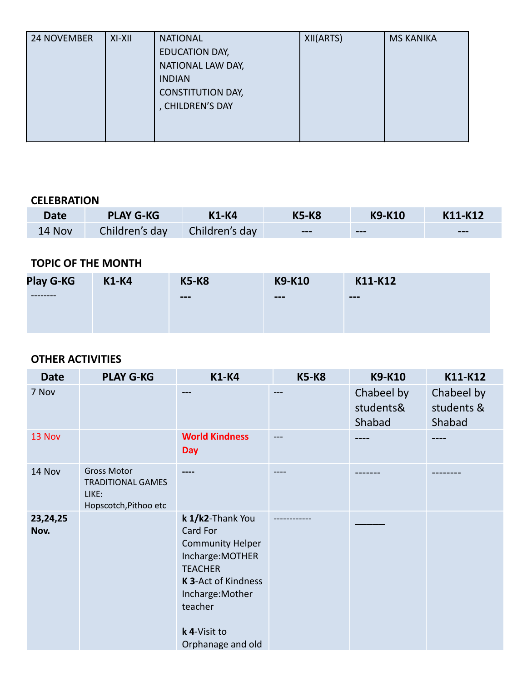| <b>24 NOVEMBER</b> | $XI-XII$ | <b>NATIONAL</b>          | XII(ARTS) | <b>MS KANIKA</b> |
|--------------------|----------|--------------------------|-----------|------------------|
|                    |          | EDUCATION DAY,           |           |                  |
|                    |          | NATIONAL LAW DAY,        |           |                  |
|                    |          | <b>INDIAN</b>            |           |                  |
|                    |          | <b>CONSTITUTION DAY,</b> |           |                  |
|                    |          | , CHILDREN'S DAY         |           |                  |
|                    |          |                          |           |                  |
|                    |          |                          |           |                  |

#### **CELEBRATION**

| <b>Date</b> | <b>PLAY G-KG</b> | <b>K1-K4</b>   | <b>K5-K8</b>           | <b>K9-K10</b> | K11-K12                |
|-------------|------------------|----------------|------------------------|---------------|------------------------|
| 14 Nov      | Children's day   | Children's day | $\qquad \qquad \cdots$ | $- - -$       | $\qquad \qquad \cdots$ |

## **TOPIC OF THE MONTH**

| <b>Play G-KG</b> | <b>K1-K4</b> | <b>K5-K8</b>           | <b>K9-K10</b> | K11-K12 |
|------------------|--------------|------------------------|---------------|---------|
| --------         |              | $\qquad \qquad \cdots$ | $---$         | $- - -$ |
|                  |              |                        |               |         |
|                  |              |                        |               |         |

| <b>Date</b>      | <b>PLAY G-KG</b>                                                                 | <b>K1-K4</b>                                                                                                                                                                             | <b>K5-K8</b> | <b>K9-K10</b>                     | K11-K12                            |
|------------------|----------------------------------------------------------------------------------|------------------------------------------------------------------------------------------------------------------------------------------------------------------------------------------|--------------|-----------------------------------|------------------------------------|
| 7 Nov            |                                                                                  | $- - -$                                                                                                                                                                                  | $---$        | Chabeel by<br>students&<br>Shabad | Chabeel by<br>students &<br>Shabad |
| 13 Nov           |                                                                                  | <b>World Kindness</b><br>Day                                                                                                                                                             |              |                                   |                                    |
| 14 Nov           | <b>Gross Motor</b><br><b>TRADITIONAL GAMES</b><br>LIKE:<br>Hopscotch, Pithoo etc |                                                                                                                                                                                          |              |                                   |                                    |
| 23,24,25<br>Nov. |                                                                                  | k 1/k2-Thank You<br>Card For<br><b>Community Helper</b><br>Incharge: MOTHER<br><b>TEACHER</b><br>K 3-Act of Kindness<br>Incharge: Mother<br>teacher<br>k 4-Visit to<br>Orphanage and old |              |                                   |                                    |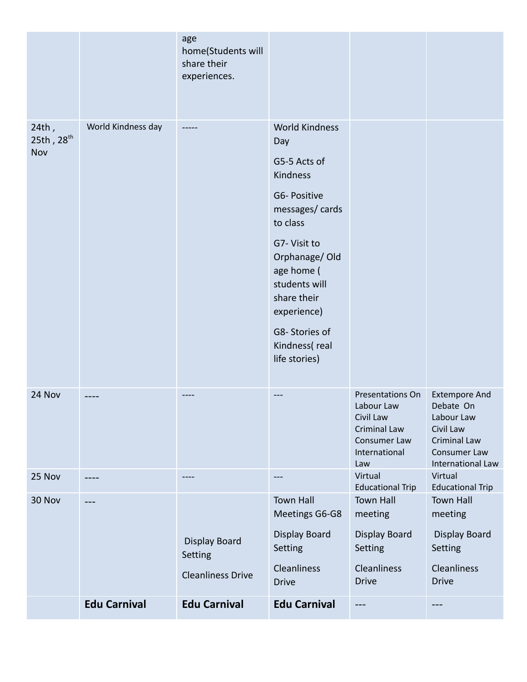|                                        |                     | age<br>home(Students will<br>share their<br>experiences.    |                                                                                                                                                                                                                                                         |                                                                                                                   |                                                                                                                          |
|----------------------------------------|---------------------|-------------------------------------------------------------|---------------------------------------------------------------------------------------------------------------------------------------------------------------------------------------------------------------------------------------------------------|-------------------------------------------------------------------------------------------------------------------|--------------------------------------------------------------------------------------------------------------------------|
| 24th,<br>25th, 28 <sup>th</sup><br>Nov | World Kindness day  |                                                             | <b>World Kindness</b><br>Day<br>G5-5 Acts of<br>Kindness<br>G6- Positive<br>messages/cards<br>to class<br>G7- Visit to<br>Orphanage/Old<br>age home (<br>students will<br>share their<br>experience)<br>G8-Stories of<br>Kindness(real<br>life stories) |                                                                                                                   |                                                                                                                          |
| 24 Nov                                 |                     |                                                             |                                                                                                                                                                                                                                                         | <b>Presentations On</b><br>Labour Law<br>Civil Law<br><b>Criminal Law</b><br>Consumer Law<br>International<br>Law | <b>Extempore And</b><br>Debate On<br>Labour Law<br>Civil Law<br><b>Criminal Law</b><br>Consumer Law<br>International Law |
| 25 Nov                                 |                     | ----                                                        | ---                                                                                                                                                                                                                                                     | Virtual<br><b>Educational Trip</b>                                                                                | Virtual<br><b>Educational Trip</b>                                                                                       |
| 30 Nov                                 | $- - -$             | <b>Display Board</b><br>Setting<br><b>Cleanliness Drive</b> | <b>Town Hall</b><br>Meetings G6-G8<br><b>Display Board</b><br>Setting<br>Cleanliness<br><b>Drive</b>                                                                                                                                                    | <b>Town Hall</b><br>meeting<br><b>Display Board</b><br>Setting<br><b>Cleanliness</b><br><b>Drive</b>              | <b>Town Hall</b><br>meeting<br>Display Board<br>Setting<br><b>Cleanliness</b><br><b>Drive</b>                            |
|                                        | <b>Edu Carnival</b> | <b>Edu Carnival</b>                                         | <b>Edu Carnival</b>                                                                                                                                                                                                                                     | $---$                                                                                                             | ---                                                                                                                      |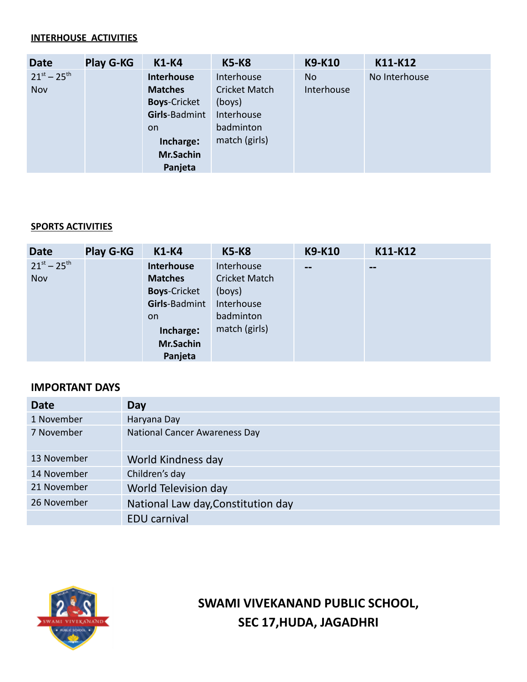#### **INTERHOUSE ACTIVITIES**

| <b>Date</b>         | <b>Play G-KG</b> | <b>K1-K4</b>        | <b>K5-K8</b>         | <b>K9-K10</b> | K11-K12       |
|---------------------|------------------|---------------------|----------------------|---------------|---------------|
| $21^{st} - 25^{th}$ |                  | <b>Interhouse</b>   | Interhouse           | No.           | No Interhouse |
| Nov                 |                  | <b>Matches</b>      | <b>Cricket Match</b> | Interhouse    |               |
|                     |                  | <b>Boys-Cricket</b> | (boys)               |               |               |
|                     |                  | Girls-Badmint       | Interhouse           |               |               |
|                     |                  | on.                 | badminton            |               |               |
|                     |                  | Incharge:           | match (girls)        |               |               |
|                     |                  | Mr.Sachin           |                      |               |               |
|                     |                  | Panjeta             |                      |               |               |

#### **SPORTS ACTIVITIES**

| <b>Date</b>         | <b>Play G-KG</b> | <b>K1-K4</b>        | <b>K5-K8</b>         | <b>K9-K10</b> | K11-K12                |
|---------------------|------------------|---------------------|----------------------|---------------|------------------------|
| $21^{st} - 25^{th}$ |                  | Interhouse          | Interhouse           | --            | $\qquad \qquad \cdots$ |
| Nov                 |                  | <b>Matches</b>      | <b>Cricket Match</b> |               |                        |
|                     |                  | <b>Boys-Cricket</b> | (boys)               |               |                        |
|                     |                  | Girls-Badmint       | Interhouse           |               |                        |
|                     |                  | on.                 | badminton            |               |                        |
|                     |                  | Incharge:           | match (girls)        |               |                        |
|                     |                  | Mr.Sachin           |                      |               |                        |
|                     |                  | Panjeta             |                      |               |                        |

#### **IMPORTANT DAYS**

| <b>Date</b> | <b>Day</b>                           |
|-------------|--------------------------------------|
| 1 November  | Haryana Day                          |
| 7 November  | <b>National Cancer Awareness Day</b> |
| 13 November | World Kindness day                   |
| 14 November | Children's day                       |
| 21 November | World Television day                 |
| 26 November | National Law day, Constitution day   |
|             | <b>EDU</b> carnival                  |



**SWAMI VIVEKANAND PUBLIC SCHOOL, SEC 17,HUDA, JAGADHRI**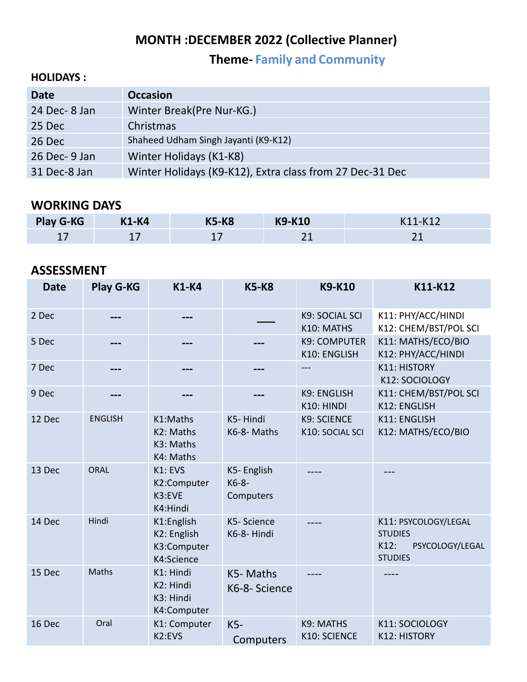## **MONTH :DECEMBER 2022 (Collective Planner)**

**Theme- Family and Community**

### **HOLIDAYS :**

| <b>Date</b>   | <b>Occasion</b>                                          |
|---------------|----------------------------------------------------------|
| 24 Dec-8 Jan  | Winter Break(Pre Nur-KG.)                                |
| 25 Dec        | Christmas                                                |
| 26 Dec        | Shaheed Udham Singh Jayanti (K9-K12)                     |
| 26 Dec- 9 Jan | Winter Holidays (K1-K8)                                  |
| 31 Dec-8 Jan  | Winter Holidays (K9-K12), Extra class from 27 Dec-31 Dec |

## **WORKING DAYS**

| <b>Play G-KG</b> | <b>K1-K4</b> | <b>K5-K8</b> | <b>K9-K10</b> | K11-K12              |
|------------------|--------------|--------------|---------------|----------------------|
| ᅩ                | --           |              |               | $\sim$<br><u>_ _</u> |

## **ASSESSMENT**

| <b>Date</b> | Play G-KG      | <b>K1-K4</b>                                                    | <b>K5-K8</b>                       | <b>K9-K10</b>                         | K11-K12                                                                             |
|-------------|----------------|-----------------------------------------------------------------|------------------------------------|---------------------------------------|-------------------------------------------------------------------------------------|
| 2 Dec       |                |                                                                 |                                    | K9: SOCIAL SCI<br>K10: MATHS          | K11: PHY/ACC/HINDI<br>K12: CHEM/BST/POL SCI                                         |
| 5 Dec       |                |                                                                 |                                    | <b>K9: COMPUTER</b><br>K10: ENGLISH   | K11: MATHS/ECO/BIO<br>K12: PHY/ACC/HINDI                                            |
| 7 Dec       | ---            |                                                                 |                                    | ---                                   | <b>K11: HISTORY</b><br>K12: SOCIOLOGY                                               |
| 9 Dec       |                |                                                                 |                                    | K9: ENGLISH<br>K10: HINDI             | K11: CHEM/BST/POL SCI<br>K12: ENGLISH                                               |
| 12 Dec      | <b>ENGLISH</b> | K1:Maths<br>K2: Maths<br>K3: Maths<br>K4: Maths                 | K5-Hindi<br>K6-8-Maths             | <b>K9: SCIENCE</b><br>K10: SOCIAL SCI | K11: ENGLISH<br>K12: MATHS/ECO/BIO                                                  |
| 13 Dec      | <b>ORAL</b>    | K1: EVS<br>K2:Computer<br>K3:EVE<br>K4:Hindi                    | K5-English<br>$K6-8-$<br>Computers |                                       |                                                                                     |
| 14 Dec      | Hindi          | K1:English<br>K2: English<br>K3:Computer<br>K4:Science          | K5-Science<br>K6-8- Hindi          |                                       | K11: PSYCOLOGY/LEGAL<br><b>STUDIES</b><br>K12:<br>PSYCOLOGY/LEGAL<br><b>STUDIES</b> |
| 15 Dec      | <b>Maths</b>   | K1: Hindi<br>K <sub>2</sub> : Hindi<br>K3: Hindi<br>K4:Computer | K5-Maths<br>K6-8- Science          |                                       | ----                                                                                |
| 16 Dec      | Oral           | K1: Computer<br>K <sub>2</sub> :EVS                             | $K5-$<br>Computers                 | K9: MATHS<br>K10: SCIENCE             | K11: SOCIOLOGY<br><b>K12: HISTORY</b>                                               |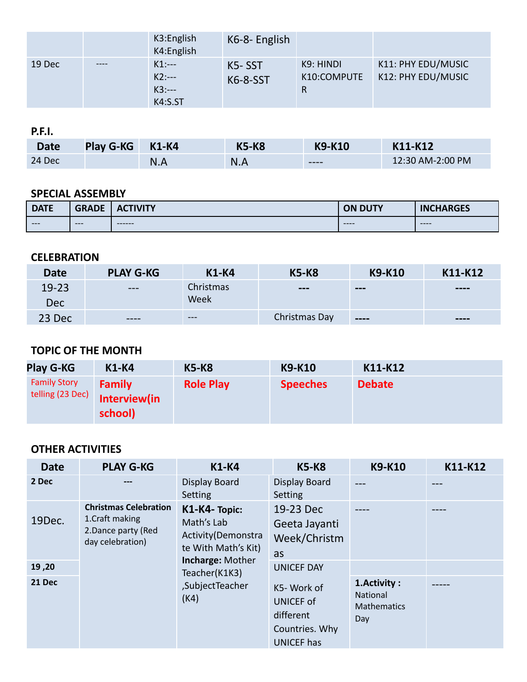|        |      | K3: English<br>K4:English                | K6-8- English      |                               |                                          |
|--------|------|------------------------------------------|--------------------|-------------------------------|------------------------------------------|
| 19 Dec | ---- | $K1:--$<br>$K2:--$<br>$K3:--$<br>K4:S.ST | K5-SST<br>K6-8-SST | K9: HINDI<br>K10:COMPUTE<br>R | K11: PHY EDU/MUSIC<br>K12: PHY EDU/MUSIC |

**P.F.I.**

| <b>Date</b> | <b>Play G-KG</b> | <b>K1-K4</b> | <b>K5-K8</b> | <b>K9-K10</b> | K11-K12          |
|-------------|------------------|--------------|--------------|---------------|------------------|
| 24 Dec      |                  | N.A          | N.A          | $---$         | 12:30 AM-2:00 PM |

## **SPECIAL ASSEMBLY**

| <b>DATE</b> | <b>GRADE</b> | 'IN 11 TM<br>$\mathbf{A}$<br><u>VIII</u> | <b>ON DUTY</b> | <b>CHARGES</b><br>IN <sub>C</sub> |
|-------------|--------------|------------------------------------------|----------------|-----------------------------------|
| $---$       | $---$        | $- - - - - -$                            | $---$          | $---$                             |

#### **CELEBRATION**

| <b>Date</b> | <b>PLAY G-KG</b> | <b>K1-K4</b> | <b>K5-K8</b>  | <b>K9-K10</b>                        | K11-K12                      |
|-------------|------------------|--------------|---------------|--------------------------------------|------------------------------|
| $19 - 23$   | $---$            | Christmas    | $---$         | $\qquad \qquad -$                    | $\qquad \qquad \blacksquare$ |
| Dec         |                  | Week         |               |                                      |                              |
| 23 Dec      | ----             | $\cdots$     | Christmas Day | $\qquad \qquad \cdots \qquad \qquad$ | $\qquad \qquad \blacksquare$ |

## **TOPIC OF THE MONTH**

| <b>Play G-KG</b>                        | <b>K1-K4</b>                             | <b>K5-K8</b>     | <b>K9-K10</b>   | K11-K12       |
|-----------------------------------------|------------------------------------------|------------------|-----------------|---------------|
| <b>Family Story</b><br>telling (23 Dec) | <b>Family</b><br>Interview(in<br>school) | <b>Role Play</b> | <b>Speeches</b> | <b>Debate</b> |

| <b>Date</b> | <b>PLAY G-KG</b>                                                                           | <b>K1-K4</b>                                                             | <b>K5-K8</b>                                                                       | <b>K9-K10</b>                                         | K11-K12 |
|-------------|--------------------------------------------------------------------------------------------|--------------------------------------------------------------------------|------------------------------------------------------------------------------------|-------------------------------------------------------|---------|
| 2 Dec       |                                                                                            | Display Board<br>Setting                                                 | <b>Display Board</b><br><b>Setting</b>                                             |                                                       |         |
| 19Dec.      | <b>Christmas Celebration</b><br>1. Craft making<br>2. Dance party (Red<br>day celebration) | K1-K4-Topic:<br>Math's Lab<br>Activity (Demonstra<br>te With Math's Kit) | 19-23 Dec<br>Geeta Jayanti<br>Week/Christm<br>as                                   |                                                       |         |
| 19,20       |                                                                                            | <b>Incharge: Mother</b><br>Teacher(K1K3)<br>,SubjectTeacher<br>(K4)      | <b>UNICEF DAY</b>                                                                  |                                                       |         |
| 21 Dec      |                                                                                            |                                                                          | K5-Work of<br><b>UNICEF of</b><br>different<br>Countries. Why<br><b>UNICEF has</b> | 1. Activity:<br>National<br><b>Mathematics</b><br>Day |         |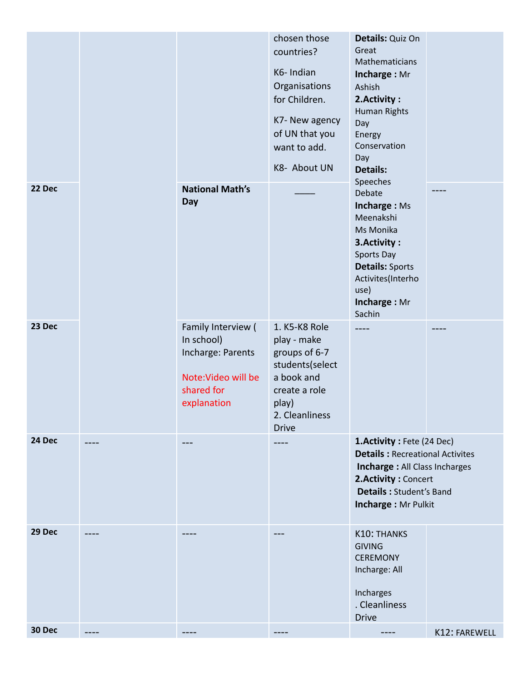|        |  |                                                                                                           | chosen those<br>countries?<br>K6-Indian<br>Organisations<br>for Children.                                                                  | Details: Quiz On<br>Great<br>Mathematicians<br>Incharge: Mr<br>Ashish<br>2. Activity:                                                                                                         |               |
|--------|--|-----------------------------------------------------------------------------------------------------------|--------------------------------------------------------------------------------------------------------------------------------------------|-----------------------------------------------------------------------------------------------------------------------------------------------------------------------------------------------|---------------|
|        |  |                                                                                                           | K7- New agency<br>of UN that you<br>want to add.<br>K8- About UN                                                                           | <b>Human Rights</b><br>Day<br>Energy<br>Conservation<br>Day<br>Details:                                                                                                                       |               |
| 22 Dec |  | <b>National Math's</b><br>Day                                                                             |                                                                                                                                            | Speeches<br>Debate<br>Incharge: Ms<br>Meenakshi<br>Ms Monika<br>3. Activity:<br>Sports Day<br><b>Details: Sports</b><br>Activites(Interho<br>use)<br>Incharge: Mr<br>Sachin                   |               |
| 23 Dec |  | Family Interview (<br>In school)<br>Incharge: Parents<br>Note: Video will be<br>shared for<br>explanation | 1. K5-K8 Role<br>play - make<br>groups of 6-7<br>students(select<br>a book and<br>create a role<br>play)<br>2. Cleanliness<br><b>Drive</b> |                                                                                                                                                                                               |               |
| 24 Dec |  |                                                                                                           |                                                                                                                                            | 1. Activity: Fete (24 Dec)<br><b>Details: Recreational Activites</b><br><b>Incharge: All Class Incharges</b><br>2. Activity: Concert<br><b>Details: Student's Band</b><br>Incharge: Mr Pulkit |               |
| 29 Dec |  |                                                                                                           |                                                                                                                                            | <b>K10: THANKS</b><br><b>GIVING</b><br><b>CEREMONY</b><br>Incharge: All<br>Incharges<br>. Cleanliness<br><b>Drive</b>                                                                         |               |
| 30 Dec |  | ----                                                                                                      |                                                                                                                                            |                                                                                                                                                                                               | K12: FAREWELL |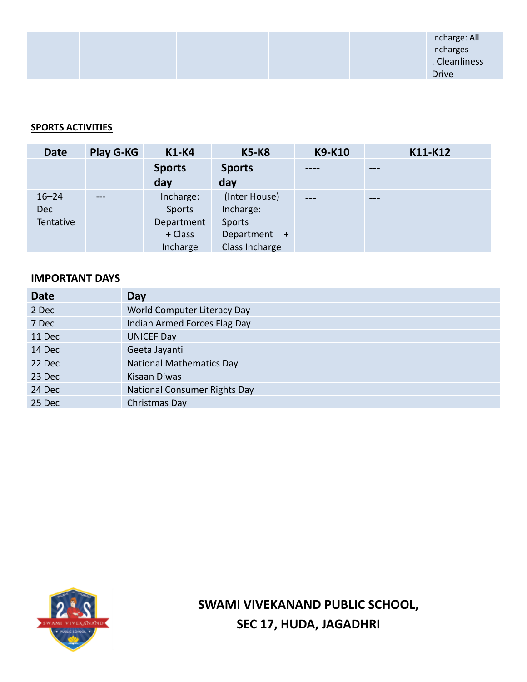#### **SPORTS ACTIVITIES**

| <b>Date</b> | <b>Play G-KG</b> | <b>K1-K4</b>  | <b>K5-K8</b>   | <b>K9-K10</b> | K11-K12 |
|-------------|------------------|---------------|----------------|---------------|---------|
|             |                  | <b>Sports</b> | <b>Sports</b>  | ----          | $- - -$ |
|             |                  | day           | day            |               |         |
| $16 - 24$   |                  | Incharge:     | (Inter House)  | ---           | $- - -$ |
| <b>Dec</b>  |                  | Sports        | Incharge:      |               |         |
| Tentative   |                  | Department    | Sports         |               |         |
|             |                  | + Class       | Department +   |               |         |
|             |                  | Incharge      | Class Incharge |               |         |

#### **IMPORTANT DAYS**

| <b>Date</b> | Day                                 |
|-------------|-------------------------------------|
| 2 Dec       | World Computer Literacy Day         |
| 7 Dec       | Indian Armed Forces Flag Day        |
| 11 Dec      | <b>UNICEF Day</b>                   |
| 14 Dec      | Geeta Jayanti                       |
| 22 Dec      | <b>National Mathematics Day</b>     |
| 23 Dec      | Kisaan Diwas                        |
| 24 Dec      | <b>National Consumer Rights Day</b> |
| 25 Dec      | Christmas Day                       |



**SWAMI VIVEKANAND PUBLIC SCHOOL, SEC 17, HUDA, JAGADHRI**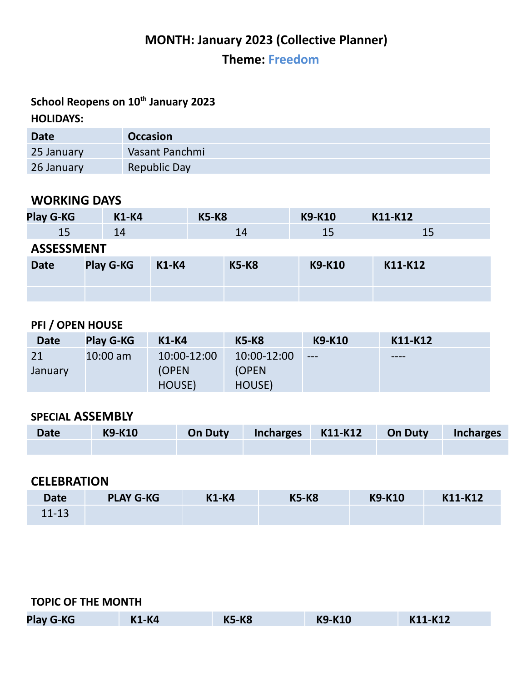## **MONTH: January 2023 (Collective Planner)**

**Theme: Freedom**

## **School Reopens on 10 th January 2023 HOLIDAYS:**

| Date       | <b>Occasion</b> |
|------------|-----------------|
| 25 January | Vasant Panchmi  |
| 26 January | Republic Day    |

### **WORKING DAYS**

| Play G-KG   | <b>K1-K4</b>      |              | <b>K5-K8</b> | K9-K10        | K11-K12 |  |  |
|-------------|-------------------|--------------|--------------|---------------|---------|--|--|
| 15          | 14                |              | 14           | 15            | 15      |  |  |
|             | <b>ASSESSMENT</b> |              |              |               |         |  |  |
| <b>Date</b> | <b>Play G-KG</b>  | <b>K1-K4</b> | <b>K5-K8</b> | <b>K9-K10</b> | K11-K12 |  |  |
|             |                   |              |              |               |         |  |  |
|             |                   |              |              |               |         |  |  |

## **PFI / OPEN HOUSE**

| <b>Date</b> | <b>Play G-KG</b> | <b>K1-K4</b>  | <b>K5-K8</b> | <b>K9-K10</b> | K11-K12 |
|-------------|------------------|---------------|--------------|---------------|---------|
| 21          | $10:00$ am       | 10:00-12:00   | 10:00-12:00  | $---$         | $--- -$ |
| January     |                  | <b>(OPEN)</b> | (OPEN)       |               |         |
|             |                  | HOUSE)        | HOUSE)       |               |         |

## **SPECIAL ASSEMBLY**

| <b>Date</b> | K9-K10 | On Duty Incharges K11-K12 On Duty Incharges |  |  |
|-------------|--------|---------------------------------------------|--|--|
|             |        |                                             |  |  |

## **CELEBRATION**

| <b>Date</b> | <b>PLAY G-KG</b> | <b>K1-K4</b> | <b>K5-K8</b> | <b>K9-K10</b> | K11-K12 |
|-------------|------------------|--------------|--------------|---------------|---------|
| $11 - 13$   |                  |              |              |               |         |

| <b>TOPIC OF THE MONTH</b> |              |              |               |         |  |
|---------------------------|--------------|--------------|---------------|---------|--|
| <b>Play G-KG</b>          | <b>K1-K4</b> | <b>K5-K8</b> | <b>K9-K10</b> | K11-K12 |  |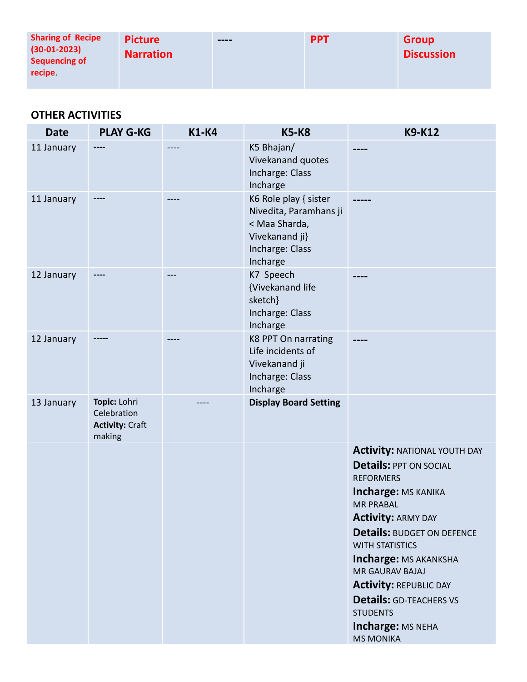| <b>Sharing of Recipe</b><br>$(30-01-2023)$<br>Sequencing of<br>recipe. | <b>Picture</b><br><b>Narration</b> | $--- -$ | <b>PPT</b> | <b>Group</b><br><b>Discussion</b> |
|------------------------------------------------------------------------|------------------------------------|---------|------------|-----------------------------------|
|------------------------------------------------------------------------|------------------------------------|---------|------------|-----------------------------------|

| <b>Date</b> | <b>PLAY G-KG</b>                                                | <b>K1-K4</b> | <b>K5-K8</b>                                                                                                      | <b>K9-K12</b>                                                                                                                                                                                                                                                                                                                                                                                                            |
|-------------|-----------------------------------------------------------------|--------------|-------------------------------------------------------------------------------------------------------------------|--------------------------------------------------------------------------------------------------------------------------------------------------------------------------------------------------------------------------------------------------------------------------------------------------------------------------------------------------------------------------------------------------------------------------|
| 11 January  |                                                                 |              | K5 Bhajan/<br>Vivekanand quotes<br>Incharge: Class<br>Incharge                                                    |                                                                                                                                                                                                                                                                                                                                                                                                                          |
| 11 January  |                                                                 | ----         | K6 Role play { sister<br>Nivedita, Paramhans ji<br>< Maa Sharda,<br>Vivekanand ji}<br>Incharge: Class<br>Incharge |                                                                                                                                                                                                                                                                                                                                                                                                                          |
| 12 January  |                                                                 |              | K7 Speech<br>{Vivekanand life<br>sketch}<br>Incharge: Class<br>Incharge                                           |                                                                                                                                                                                                                                                                                                                                                                                                                          |
| 12 January  |                                                                 |              | K8 PPT On narrating<br>Life incidents of<br>Vivekanand ji<br>Incharge: Class<br>Incharge                          |                                                                                                                                                                                                                                                                                                                                                                                                                          |
| 13 January  | Topic: Lohri<br>Celebration<br><b>Activity: Craft</b><br>making |              | <b>Display Board Setting</b>                                                                                      |                                                                                                                                                                                                                                                                                                                                                                                                                          |
|             |                                                                 |              |                                                                                                                   | <b>Activity: NATIONAL YOUTH DAY</b><br><b>Details: PPT ON SOCIAL</b><br><b>REFORMERS</b><br><b>Incharge: MS KANIKA</b><br><b>MR PRABAL</b><br><b>Activity: ARMY DAY</b><br><b>Details: BUDGET ON DEFENCE</b><br><b>WITH STATISTICS</b><br>Incharge: MS AKANKSHA<br>MR GAURAV BAJAJ<br><b>Activity: REPUBLIC DAY</b><br><b>Details: GD-TEACHERS VS</b><br><b>STUDENTS</b><br><b>Incharge: MS NEHA</b><br><b>MS MONIKA</b> |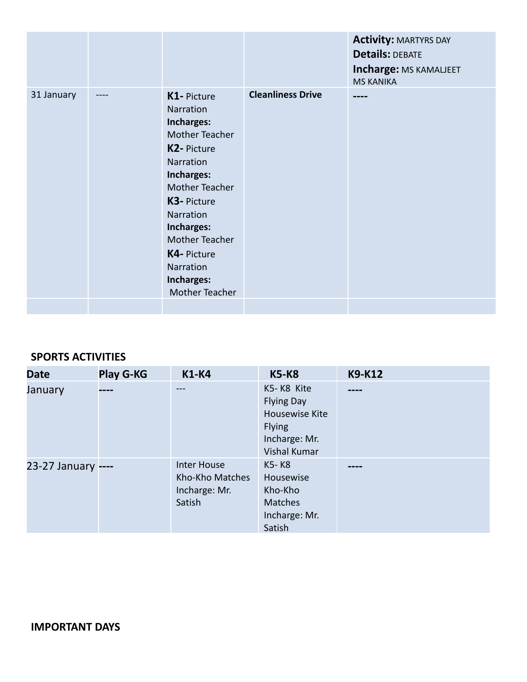|            |                                                                                                                                                                                                                                              |                          | <b>Activity: MARTYRS DAY</b><br><b>Details: DEBATE</b><br>Incharge: MS KAMALJEET<br><b>MS KANIKA</b> |
|------------|----------------------------------------------------------------------------------------------------------------------------------------------------------------------------------------------------------------------------------------------|--------------------------|------------------------------------------------------------------------------------------------------|
| 31 January | K1- Picture<br>Narration<br>Incharges:<br>Mother Teacher<br>K2- Picture<br>Narration<br>Incharges:<br>Mother Teacher<br>K3- Picture<br>Narration<br>Incharges:<br>Mother Teacher<br>K4- Picture<br>Narration<br>Incharges:<br>Mother Teacher | <b>Cleanliness Drive</b> | ----                                                                                                 |
|            |                                                                                                                                                                                                                                              |                          |                                                                                                      |

#### **SPORTS ACTIVITIES**

| <b>Date</b>        | <b>Play G-KG</b> | <b>K1-K4</b>                                                     | <b>K5-K8</b>                                                                                               | <b>K9-K12</b> |
|--------------------|------------------|------------------------------------------------------------------|------------------------------------------------------------------------------------------------------------|---------------|
| January            |                  | $\frac{1}{2}$                                                    | K5-K8 Kite<br><b>Flying Day</b><br>Housewise Kite<br><b>Flying</b><br>Incharge: Mr.<br><b>Vishal Kumar</b> |               |
| 23-27 January ---- |                  | <b>Inter House</b><br>Kho-Kho Matches<br>Incharge: Mr.<br>Satish | K5-K8<br>Housewise<br>Kho-Kho<br><b>Matches</b><br>Incharge: Mr.<br>Satish                                 |               |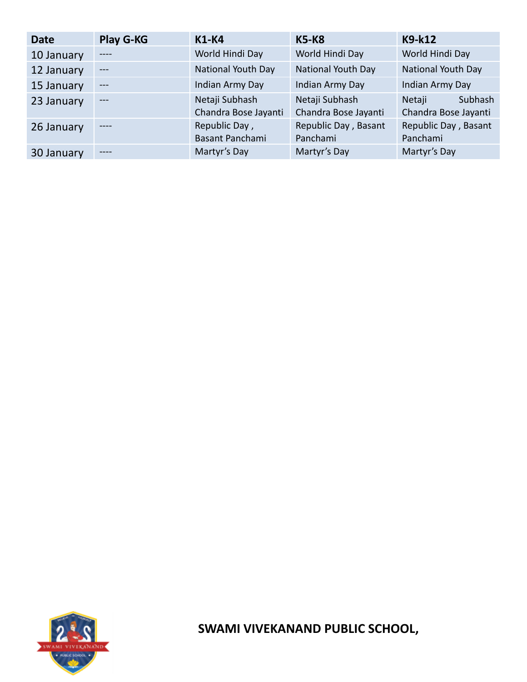| <b>Date</b> | <b>Play G-KG</b> | <b>K1-K4</b>                           | <b>K5-K8</b>                           | K9-k12                                    |
|-------------|------------------|----------------------------------------|----------------------------------------|-------------------------------------------|
| 10 January  | $\frac{1}{2}$    | World Hindi Day                        | World Hindi Day                        | World Hindi Day                           |
| 12 January  | $---$            | <b>National Youth Day</b>              | National Youth Day                     | National Youth Day                        |
| 15 January  | $---$            | Indian Army Day                        | Indian Army Day                        | Indian Army Day                           |
| 23 January  | $---$            | Netaji Subhash<br>Chandra Bose Jayanti | Netaji Subhash<br>Chandra Bose Jayanti | Subhash<br>Netaji<br>Chandra Bose Jayanti |
| 26 January  | $\frac{1}{2}$    | Republic Day,                          | Republic Day, Basant                   | Republic Day, Basant                      |
|             |                  | Basant Panchami                        | Panchami                               | Panchami                                  |
| 30 January  | $---$            | Martyr's Day                           | Martyr's Day                           | Martyr's Day                              |



**SWAMI VIVEKANAND PUBLIC SCHOOL,**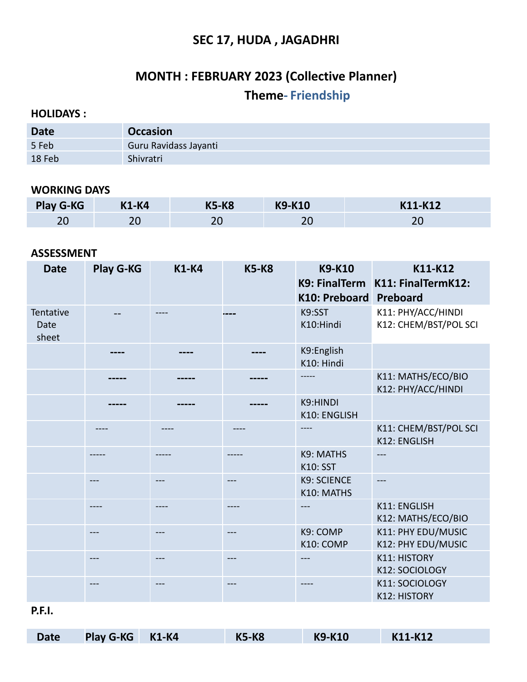## **SEC 17, HUDA , JAGADHRI**

# **MONTH : FEBRUARY 2023 (Collective Planner) Theme- Friendship**

#### **HOLIDAYS :**

| <b>Date</b> | <b>Occasion</b>       |
|-------------|-----------------------|
| 5 Feb       | Guru Ravidass Jayanti |
| 18 Feb      | Shivratri             |

#### **WORKING DAYS**

| Play G-KG | <b>K1-K4</b> | <b>K5-K8</b> | <b>K9-K10</b> | K11-K12 |
|-----------|--------------|--------------|---------------|---------|
| n c       | ᅀ            | าเ<br>∠∪     |               | ZV      |

#### **ASSESSMENT**

| <b>Date</b>                | <b>Play G-KG</b> | <b>K1-K4</b> | <b>K5-K8</b> | <b>K9-K10</b><br>K10: Preboard   | K11-K12<br>K9: FinalTerm K11: FinalTermK12:<br>Preboard |
|----------------------------|------------------|--------------|--------------|----------------------------------|---------------------------------------------------------|
| Tentative<br>Date<br>sheet |                  |              |              | K9:SST<br>K10:Hindi              | K11: PHY/ACC/HINDI<br>K12: CHEM/BST/POL SCI             |
|                            |                  |              |              | K9:English<br>K10: Hindi         |                                                         |
|                            |                  |              |              |                                  | K11: MATHS/ECO/BIO<br>K12: PHY/ACC/HINDI                |
|                            |                  |              |              | K9:HINDI<br>K10: ENGLISH         |                                                         |
|                            |                  |              |              |                                  | K11: CHEM/BST/POL SCI<br>K12: ENGLISH                   |
|                            |                  |              |              | K9: MATHS<br><b>K10: SST</b>     | ---                                                     |
|                            |                  |              |              | <b>K9: SCIENCE</b><br>K10: MATHS | ---                                                     |
|                            |                  |              |              |                                  | K11: ENGLISH<br>K12: MATHS/ECO/BIO                      |
|                            |                  |              |              | K9: COMP<br>K10: COMP            | K11: PHY EDU/MUSIC<br>K12: PHY EDU/MUSIC                |
|                            |                  |              |              |                                  | <b>K11: HISTORY</b><br>K12: SOCIOLOGY                   |
|                            |                  |              |              |                                  | K11: SOCIOLOGY<br><b>K12: HISTORY</b>                   |

**P.F.I.**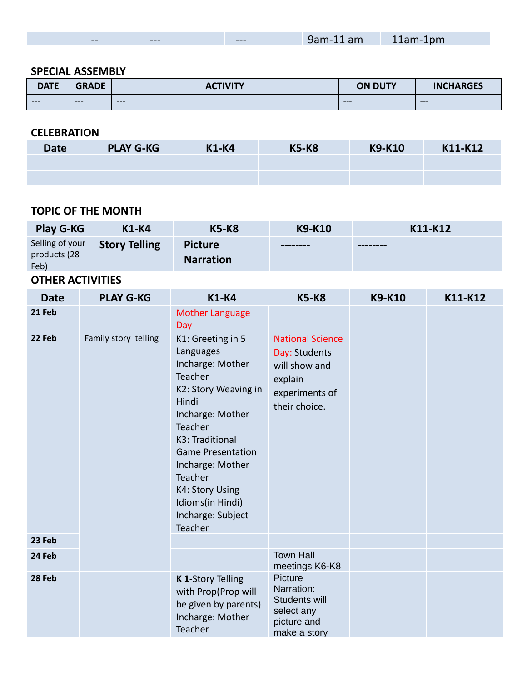| <b>CONTRACTOR</b><br>$- -$<br>$---$ | $---$ | 9am-<br>am<br>$+ + +$ $-$ | 11am-1pm |  |
|-------------------------------------|-------|---------------------------|----------|--|
|-------------------------------------|-------|---------------------------|----------|--|

#### **SPECIAL ASSEMBLY**

| <b>DATE</b> | <b>GRADE</b> | <b>CTIVITY</b><br>AC. | <b>ON DUTY</b> | <b>INCHARGES</b> |
|-------------|--------------|-----------------------|----------------|------------------|
| $---$       | $---$        | $---$                 | $---$          | $---$            |

#### **CELEBRATION**

| <b>Date</b> | <b>PLAY G-KG</b> | <b>K1-K4</b> | <b>K5-K8</b> | K9-K10 | K11-K12 |
|-------------|------------------|--------------|--------------|--------|---------|
|             |                  |              |              |        |         |
|             |                  |              |              |        |         |

#### **TOPIC OF THE MONTH**

| <b>Play G-KG</b>                        | <b>K1-K4</b>         | <b>K5-K8</b>                       | <b>K9-K10</b> | K11-K12  |
|-----------------------------------------|----------------------|------------------------------------|---------------|----------|
| Selling of your<br>products (28<br>Feb) | <b>Story Telling</b> | <b>Picture</b><br><b>Narration</b> | --------      | -------- |

| <b>Date</b> | <b>PLAY G-KG</b>     | <b>K1-K4</b>                                                                                                                                                                                                                                                                       | <b>K5-K8</b>                                                                                            | <b>K9-K10</b> | K11-K12 |
|-------------|----------------------|------------------------------------------------------------------------------------------------------------------------------------------------------------------------------------------------------------------------------------------------------------------------------------|---------------------------------------------------------------------------------------------------------|---------------|---------|
| 21 Feb      |                      | <b>Mother Language</b><br>Day                                                                                                                                                                                                                                                      |                                                                                                         |               |         |
| 22 Feb      | Family story telling | K1: Greeting in 5<br>Languages<br>Incharge: Mother<br>Teacher<br>K2: Story Weaving in<br>Hindi<br>Incharge: Mother<br>Teacher<br>K3: Traditional<br><b>Game Presentation</b><br>Incharge: Mother<br>Teacher<br>K4: Story Using<br>Idioms(in Hindi)<br>Incharge: Subject<br>Teacher | <b>National Science</b><br>Day: Students<br>will show and<br>explain<br>experiments of<br>their choice. |               |         |
| 23 Feb      |                      |                                                                                                                                                                                                                                                                                    |                                                                                                         |               |         |
| 24 Feb      |                      |                                                                                                                                                                                                                                                                                    | <b>Town Hall</b><br>meetings K6-K8                                                                      |               |         |
| 28 Feb      |                      | K 1-Story Telling<br>with Prop(Prop will<br>be given by parents)<br>Incharge: Mother<br>Teacher                                                                                                                                                                                    | Picture<br>Narration:<br>Students will<br>select any<br>picture and<br>make a story                     |               |         |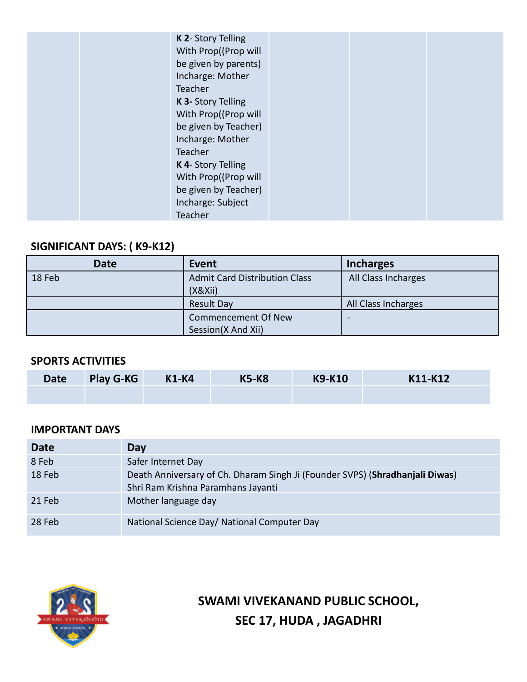| K 2- Story Telling<br>With Prop((Prop will<br>be given by parents)<br>Incharge: Mother<br>Teacher<br>K 3- Story Telling<br>With Prop((Prop will<br>be given by Teacher)<br>Incharge: Mother<br>Teacher<br>K 4- Story Telling<br>With Prop((Prop will<br>be given by Teacher)<br>Incharge: Subject |  |  |
|---------------------------------------------------------------------------------------------------------------------------------------------------------------------------------------------------------------------------------------------------------------------------------------------------|--|--|
| Teacher                                                                                                                                                                                                                                                                                           |  |  |

## **SIGNIFICANT DAYS: ( K9-K12)**

| <b>Date</b> | Event                                | <b>Incharges</b>    |
|-------------|--------------------------------------|---------------------|
| 18 Feb      | <b>Admit Card Distribution Class</b> | All Class Incharges |
|             | (X& Xii)                             |                     |
|             | <b>Result Day</b>                    | All Class Incharges |
|             | <b>Commencement Of New</b>           | -                   |
|             | Session(X And Xii)                   |                     |

#### **SPORTS ACTIVITIES**

| <b>Date</b> | <b>Play G-KG</b> | <b>K1-K4</b> | <b>K5-K8</b> | K9-K10 | K11-K12 |
|-------------|------------------|--------------|--------------|--------|---------|
|             |                  |              |              |        |         |

### **IMPORTANT DAYS**

| <b>Date</b> | Day                                                                                                                |
|-------------|--------------------------------------------------------------------------------------------------------------------|
| 8 Feb       | Safer Internet Day                                                                                                 |
| 18 Feb      | Death Anniversary of Ch. Dharam Singh Ji (Founder SVPS) (Shradhanjali Diwas)<br>Shri Ram Krishna Paramhans Jayanti |
| 21 Feb      | Mother language day                                                                                                |
| 28 Feb      | National Science Day/ National Computer Day                                                                        |



**SWAMI VIVEKANAND PUBLIC SCHOOL, SEC 17, HUDA , JAGADHRI**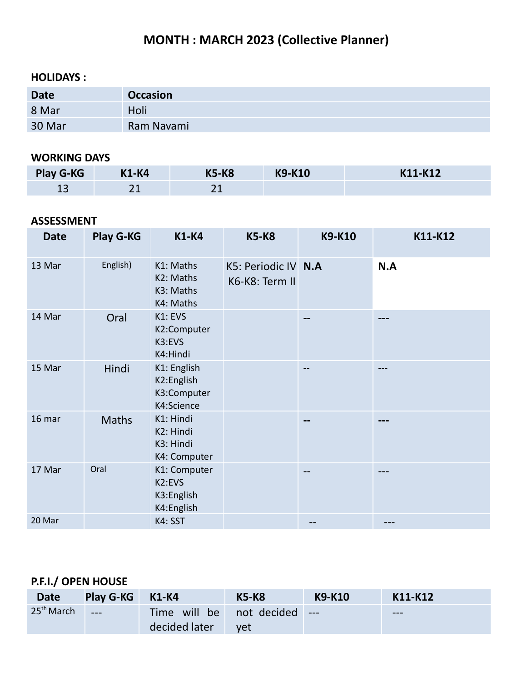## **MONTH : MARCH 2023 (Collective Planner)**

### **HOLIDAYS :**

| <b>Date</b> | <b>Occasion</b> |
|-------------|-----------------|
| 8 Mar       | Holi            |
| 30 Mar      | Ram Navami      |

### **WORKING DAYS**

| <b>Play G-KG</b> | <b>K1-K4</b> | <b>K5-K8</b> | <b>K9-K10</b> | K11-K12 |
|------------------|--------------|--------------|---------------|---------|
| ᅩ                | ົ<br>ᅀᅩ      |              |               |         |

### **ASSESSMENT**

| <b>Date</b> | <b>Play G-KG</b> | <b>K1-K4</b>                                           | <b>K5-K8</b>                          | <b>K9-K10</b> | K11-K12 |
|-------------|------------------|--------------------------------------------------------|---------------------------------------|---------------|---------|
| 13 Mar      | English)         | K1: Maths<br>K2: Maths<br>K3: Maths<br>K4: Maths       | K5: Periodic IV N.A<br>K6-K8: Term II |               | N.A     |
| 14 Mar      | Oral             | K1: EVS<br>K2:Computer<br>K3:EVS<br>K4:Hindi           |                                       | --            | ---     |
| 15 Mar      | Hindi            | K1: English<br>K2:English<br>K3:Computer<br>K4:Science |                                       |               |         |
| 16 mar      | <b>Maths</b>     | K1: Hindi<br>K2: Hindi<br>K3: Hindi<br>K4: Computer    |                                       |               |         |
| 17 Mar      | Oral             | K1: Computer<br>K2:EVS<br>K3:English<br>K4:English     |                                       | --            |         |
| 20 Mar      |                  | K4: SST                                                |                                       |               |         |

## **P.F.I./ OPEN HOUSE**

| <b>Date</b>  | <b>Play G-KG</b> | K1-K4                                     | <b>K5-K8</b> | <b>K9-K10</b> | K11-K12 |
|--------------|------------------|-------------------------------------------|--------------|---------------|---------|
| $25th$ March | $---$            | Time will be not decided<br>decided later | yet          | $---$         | $---$   |